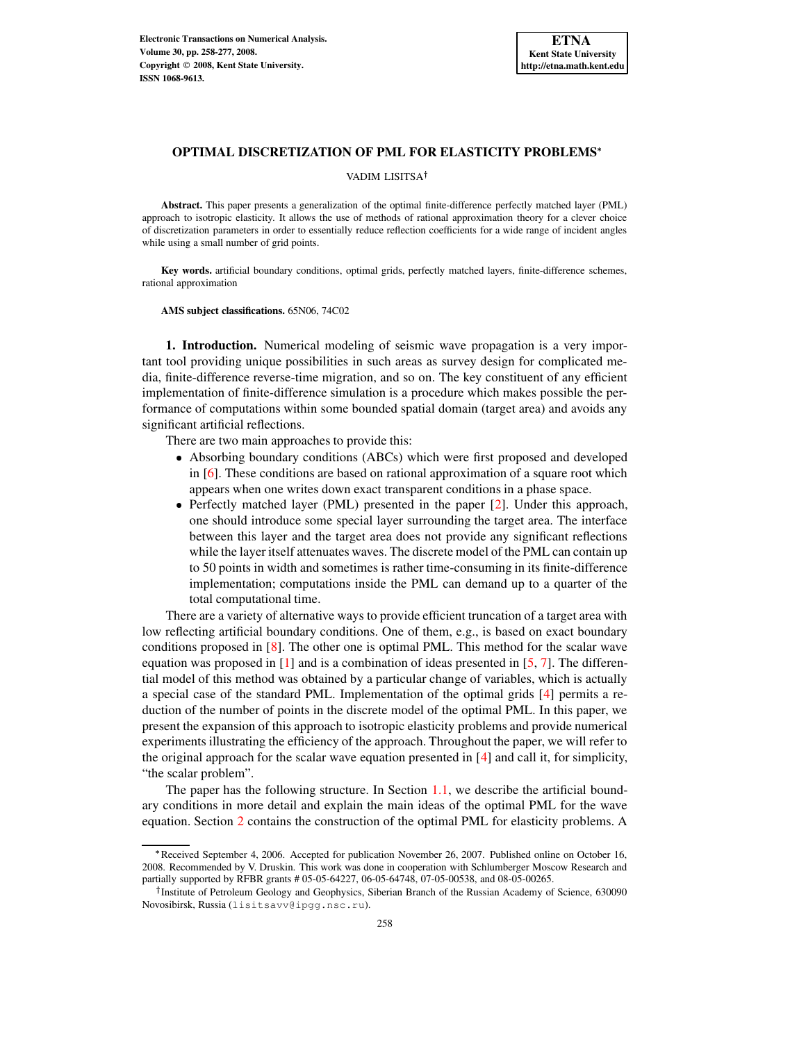VADIM LISITSA

**Abstract.** This paper presents a generalization of the optimal finite-difference perfectly matched layer (PML) approach to isotropic elasticity. It allows the use of methods of rational approximation theory for a clever choice of discretization parameters in order to essentially reduce reflection coefficients for a wide range of incident angles while using a small number of grid points.

**Key words.** artificial boundary conditions, optimal grids, perfectly matched layers, finite-difference schemes, rational approximation

**AMS subject classifications.** 65N06, 74C02

**1. Introduction.** Numerical modeling of seismic wave propagation is a very important tool providing unique possibilities in such areas as survey design for complicated media, finite-difference reverse-time migration, and so on. The key constituent of any efficient implementation of finite-difference simulation is a procedure which makes possible the performance of computations within some bounded spatial domain (target area) and avoids any significant artificial reflections.

There are two main approaches to provide this:

- Absorbing boundary conditions (ABCs) which were first proposed and developed in [\[6\]](#page-19-0). These conditions are based on rational approximation of a square root which appears when one writes down exact transparent conditions in a phase space.
- Perfectly matched layer (PML) presented in the paper [\[2\]](#page-19-1). Under this approach, one should introduce some special layer surrounding the target area. The interface between this layer and the target area does not provide any significant reflections while the layer itself attenuates waves. The discrete model of the PML can contain up to 50 points in width and sometimes is rather time-consuming in its finite-difference implementation; computations inside the PML can demand up to a quarter of the total computational time.

There are a variety of alternative ways to provide efficient truncation of a target area with low reflecting artificial boundary conditions. One of them, e.g., is based on exact boundary conditions proposed in [\[8\]](#page-19-2). The other one is optimal PML. This method for the scalar wave equation was proposed in  $[1]$  and is a combination of ideas presented in  $[5, 7]$  $[5, 7]$  $[5, 7]$ . The differential model of this method was obtained by a particular change of variables, which is actually a special case of the standard PML. Implementation of the optimal grids [\[4\]](#page-19-6) permits a reduction of the number of points in the discrete model of the optimal PML. In this paper, we present the expansion of this approach to isotropic elasticity problems and provide numerical experiments illustrating the efficiency of the approach. Throughout the paper, we will refer to the original approach for the scalar wave equation presented in [\[4\]](#page-19-6) and call it, for simplicity, "the scalar problem".

The paper has the following structure. In Section [1.1,](#page-1-0) we describe the artificial boundary conditions in more detail and explain the main ideas of the optimal PML for the wave equation. Section [2](#page-3-0) contains the construction of the optimal PML for elasticity problems. A

Received September 4, 2006. Accepted for publication November 26, 2007. Published online on October 16, 2008. Recommended by V. Druskin. This work was done in cooperation with Schlumberger Moscow Research and partially supported by RFBR grants # 05-05-64227, 06-05-64748, 07-05-00538, and 08-05-00265.

<sup>&</sup>lt;sup>†</sup> Institute of Petroleum Geology and Geophysics, Siberian Branch of the Russian Academy of Science, 630090 Novosibirsk, Russia (lisitsavv@ipgg.nsc.ru).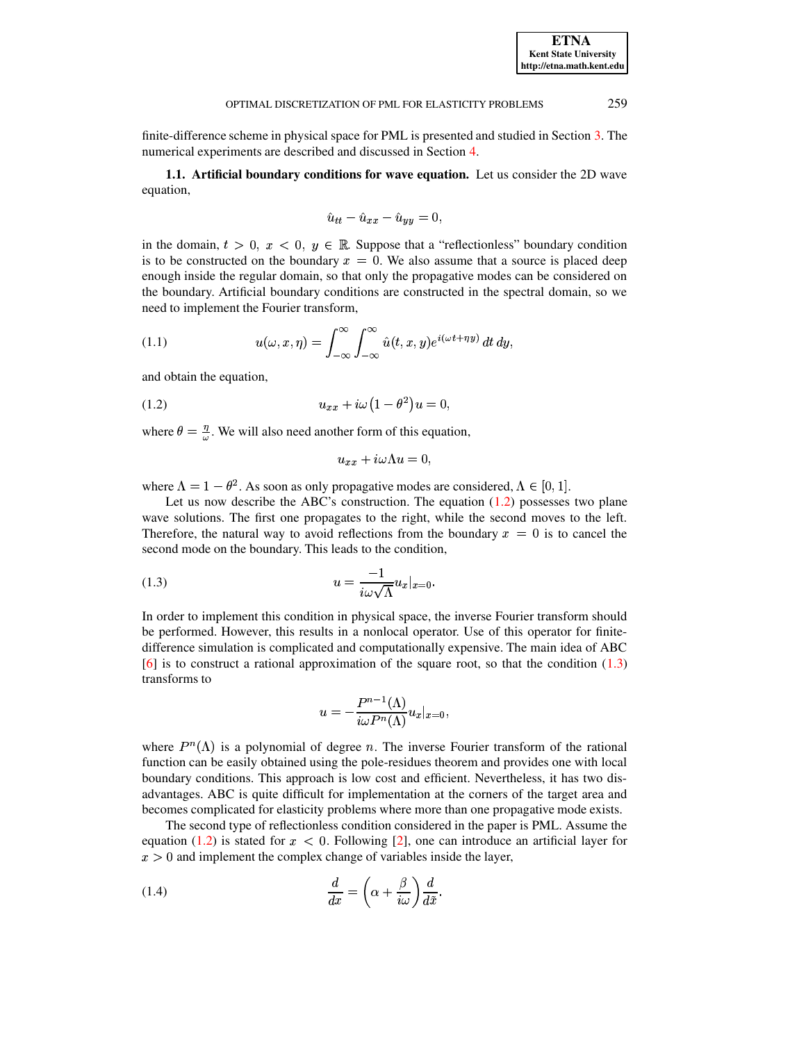finite-difference scheme in physical space for PML is presented and studied in Section [3.](#page-10-0) The numerical experiments are described and discussed in Section [4.](#page-14-0)

<span id="page-1-0"></span>**1.1. Artificial boundary conditions for wave equation.** Let us consider the 2D wave equation,

$$
\hat{u}_{tt} - \hat{u}_{xx} - \hat{u}_{yy} = 0,
$$

in the domain,  $t > 0$ ,  $x < 0$ ,  $y \in \mathbb{R}$ . Suppose that a "reflectionless" boundary condition is to be constructed on the boundary  $x = 0$ . We also assume that a source is placed deep enough inside the regular domain, so that only the propagative modes can be considered on the boundary. Artificial boundary conditions are constructed in the spectral domain, so we need to implement the Fourier transform,

<span id="page-1-3"></span>(1.1) 
$$
u(\omega, x, \eta) = \int_{-\infty}^{\infty} \int_{-\infty}^{\infty} \hat{u}(t, x, y) e^{i(\omega t + \eta y)} dt dy,
$$

and obtain the equation,

<span id="page-1-1"></span>(1.2) 
$$
u_{xx} + i\omega (1 - \theta^2) u = 0,
$$

where  $\theta = \frac{\eta}{\omega}$ . We will also need another form of this equation,

$$
u_{xx} + i\omega \Lambda u = 0,
$$

where  $\Lambda = 1 - \theta^2$ . As soon as only propagative modes are considered,  $\Lambda \in [0,1]$ .

Let us now describe the ABC's construction. The equation  $(1.2)$  possesses two plane wave solutions. The first one propagates to the right, while the second moves to the left. Therefore, the natural way to avoid reflections from the boundary  $x = 0$  is to cancel the second mode on the boundary. This leads to the condition,

<span id="page-1-2"></span>
$$
(1.3) \t\t u = \frac{-1}{i\omega\sqrt{\Lambda}}u_x|_{x=0}.
$$

In order to implement this condition in physical space, the inverse Fourier transform should be performed. However, this results in a nonlocal operator. Use of this operator for finitedifference simulation is complicated and computationally expensive. The main idea of ABC [\[6\]](#page-19-0) is to construct a rational approximation of the square root, so that the condition [\(1.3\)](#page-1-2) transforms to

$$
u=-\frac{P^{n-1}(\Lambda)}{i\omega P^n(\Lambda)}u_x|_{x=0},
$$

where  $P^{n}(\Lambda)$  is a polynomial of degree n. The inverse Fourier transform of the rational function can be easily obtained using the pole-residues theorem and provides one with local boundary conditions. This approach is low cost and efficient. Nevertheless, it has two disadvantages. ABC is quite difficult for implementation at the corners of the target area and becomes complicated for elasticity problems where more than one propagative mode exists.

The second type of reflectionless condition considered in the paper is PML. Assume the equation [\(1.2\)](#page-1-1) is stated for  $x < 0$ . Following [\[2\]](#page-19-1), one can introduce an artificial layer for  $x > 0$  and implement the complex change of variables inside the layer,

(1.4) 
$$
\frac{d}{dx} = \left(\alpha + \frac{\beta}{i\omega}\right)\frac{d}{d\tilde{x}}.
$$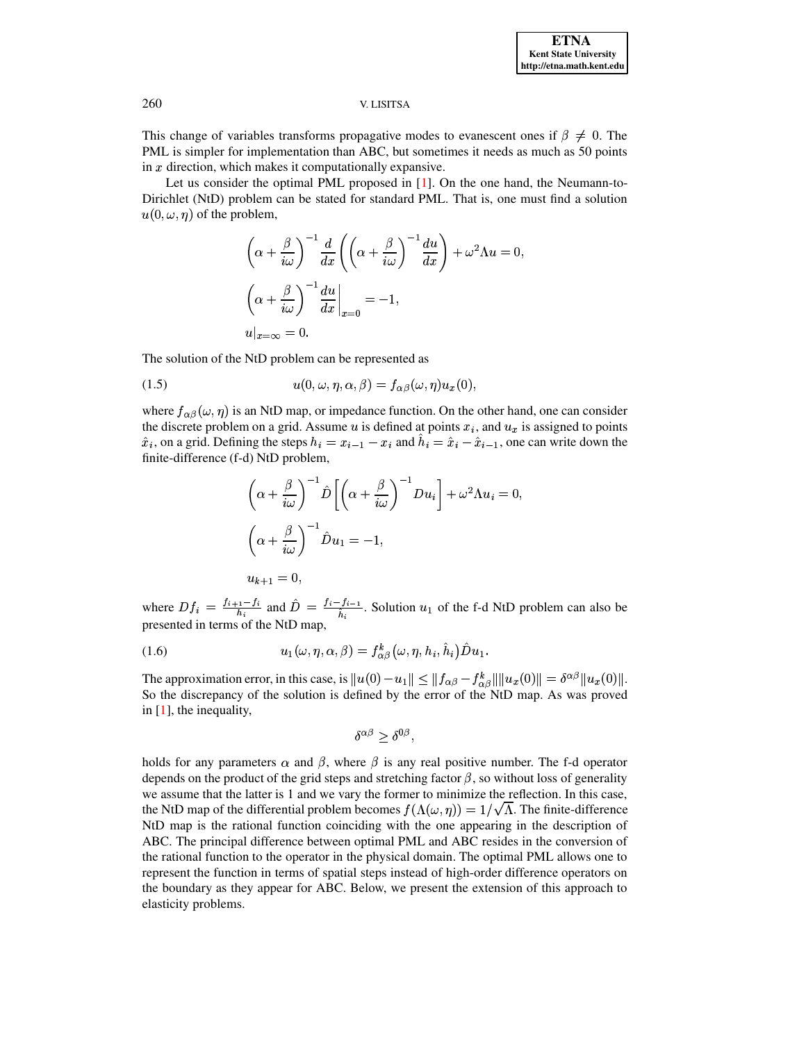This change of variables transforms propagative modes to evanescent ones if  $\beta \neq 0$ . The PML is simpler for implementation than ABC, but sometimes it needs as much as 50 points in  $x$  direction, which makes it computationally expansive.

Let us consider the optimal PML proposed in [\[1\]](#page-19-3). On the one hand, the Neumann-to-Dirichlet (NtD) problem can be stated for standard PML. That is, one must find a solution  $u(0, \omega, \eta)$  of the problem,

$$
\left(\alpha + \frac{\beta}{i\omega}\right)^{-1} \frac{d}{dx} \left(\left(\alpha + \frac{\beta}{i\omega}\right)^{-1} \frac{du}{dx}\right) + \omega^2 \Lambda u = 0,
$$
  

$$
\left(\alpha + \frac{\beta}{i\omega}\right)^{-1} \frac{du}{dx}\Big|_{x=0} = -1,
$$
  

$$
u|_{x=\infty} = 0.
$$

The solution of the NtD problem can be represented as

(1.5) 
$$
u(0, \omega, \eta, \alpha, \beta) = f_{\alpha\beta}(\omega, \eta)u_x(0),
$$

where  $f_{\alpha\beta}(\omega,\eta)$  is an NtD map, or impedance function. On the other hand, one can consider the discrete problem on a grid. Assume u is defined at points  $x_i$ , and  $u_x$  is assigned to points  $\hat{x}_i$ , on a grid. Defining the steps  $h_i = x_{i-1} - x_i$  and  $\hat{h}_i = \hat{x}_i - \hat{x}_{i-1}$ , one can write down the finite-difference (f-d) NtD problem,

$$
\left(\alpha + \frac{\beta}{i\omega}\right)^{-1} \hat{D} \left[ \left(\alpha + \frac{\beta}{i\omega}\right)^{-1} Du_i \right] + \omega^2 \Lambda u_i = 0,
$$
  

$$
\left(\alpha + \frac{\beta}{i\omega}\right)^{-1} \hat{D} u_1 = -1,
$$
  

$$
u_{k+1} = 0,
$$

where  $Df_i = \frac{f_{i+1}-f_i}{h_i}$  and  $\hat{D} = \frac{f_i-f_{i-1}}{\hat{h}_i}$ . Solution  $u_1$  of the f-d NtD problem can also be presented in terms of the NtD map,

(1.6) 
$$
u_1(\omega, \eta, \alpha, \beta) = f_{\alpha\beta}^k(\omega, \eta, h_i, \hat{h}_i) \hat{D} u_1.
$$

The approximation error, in this case, is  $||u(0) - u_1|| \le ||f_{\alpha\beta} - f_{\alpha\beta}^k|| ||u_x(0)|| = \delta^{\alpha\beta} ||u_x(0)||$ . So the discrepancy of the solution is defined by the error of the NtD map. As was proved in [\[1\]](#page-19-3), the inequality,

$$
\delta^{\alpha\beta}\geq \delta^{0\beta},
$$

holds for any parameters  $\alpha$  and  $\beta$ , where  $\beta$  is any real positive number. The f-d operator depends on the product of the grid steps and stretching factor  $\beta$ , so without loss of generality we assume that the latter is 1 and we vary the former to minimize the reflection. In this case, the NtD map of the differential problem becomes  $f(\Lambda(\omega, \eta)) = 1/\sqrt{\Lambda}$ . The finite-difference NtD map is the rational function coinciding with the one appearing in the description of ABC. The principal difference between optimal PML and ABC resides in the conversion of the rational function to the operator in the physical domain. The optimal PML allows one to represent the function in terms of spatial steps instead of high-order difference operators on the boundary as they appear for ABC. Below, we present the extension of this approach to elasticity problems.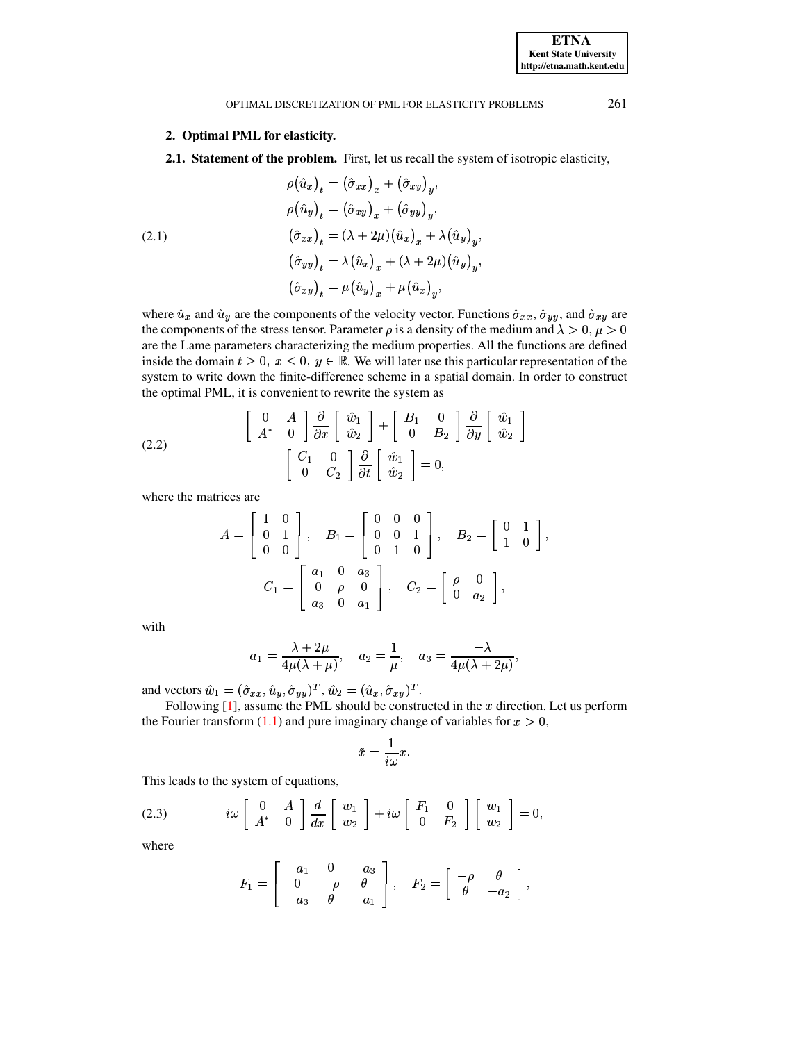# **2. Optimal PML for elasticity.**

**2.1. Statement of the problem.** First, let us recall the system of isotropic elasticity,

<span id="page-3-0"></span> $a(\hat{u}^{\dagger}) = (\hat{\sigma}^{\dagger})^{\dagger} \pm (\hat{\sigma}^{\dagger})^{\dagger}$  $a(\hat{u}^{\dagger}) = (\hat{\sigma}^{\dagger})^{\dagger} \pm (\hat{\sigma}^{\dagger})^{\dagger}$  $\hat{a}$   $( \hat{a}$   $)$   $=$   $( \lambda \pm 2\mu)( \hat{u}$   $)$   $\pm$   $\lambda(\hat{u}$   $)$  $\left(\hat{\sigma} \quad | \quad -\lambda(\hat{u} \quad | \quad +(\lambda+2u)(\hat{u} \quad | \quad) \right)$  $\left(\hat{\sigma} \quad | \quad -n\hat{\omega} \quad | \quad \pm n\hat{\omega} \quad | \quad \pm n\right)$ (2.1)

where  $\hat{u}_x$  and  $\hat{u}_y$  are the components of the velocity vector. Functions  $\hat{\sigma}_{xx}$ ,  $\hat{\sigma}_{yy}$ , and  $\hat{\sigma}_{xy}$  are the components of the stress tensor. Parameter  $\rho$  is a density of the medium and  $\lambda > 0$ ,  $\mu > 0$ are the Lame parameters characterizing the medium properties. All the functions are defined inside the domain  $t \geq 0$ ,  $x \leq 0$ ,  $y \in \mathbb{R}$ . We will later use this particular representation of the system to write down the finite-difference scheme in a spatial domain. In order to construct the optimal PML, it is convenient to rewrite the system as

(2.2) 
$$
\begin{bmatrix} 0 & A \ A^* & 0 \end{bmatrix} \frac{\partial}{\partial x} \begin{bmatrix} \hat{w}_1 \\ \hat{w}_2 \end{bmatrix} + \begin{bmatrix} B_1 & 0 \\ 0 & B_2 \end{bmatrix} \frac{\partial}{\partial y} \begin{bmatrix} \hat{w}_1 \\ \hat{w}_2 \end{bmatrix} - \begin{bmatrix} C_1 & 0 \\ 0 & C_2 \end{bmatrix} \frac{\partial}{\partial t} \begin{bmatrix} \hat{w}_1 \\ \hat{w}_2 \end{bmatrix} = 0,
$$

where the matrices are

$$
A = \begin{bmatrix} 1 & 0 \\ 0 & 1 \\ 0 & 0 \end{bmatrix}, \quad B_1 = \begin{bmatrix} 0 & 0 & 0 \\ 0 & 0 & 1 \\ 0 & 1 & 0 \end{bmatrix}, \quad B_2 = \begin{bmatrix} 0 & 1 \\ 1 & 0 \end{bmatrix},
$$

$$
C_1 = \begin{bmatrix} a_1 & 0 & a_3 \\ 0 & \rho & 0 \\ a_3 & 0 & a_1 \end{bmatrix}, \quad C_2 = \begin{bmatrix} \rho & 0 \\ 0 & a_2 \end{bmatrix},
$$

with

$$
a_1=\frac{\lambda+2\mu}{4\mu(\lambda+\mu)},\quad a_2=\frac{1}{\mu},\quad a_3=\frac{-\lambda}{4\mu(\lambda+2\mu)},
$$

and vectors  $\hat{w}_1 = (\hat{\sigma}_{xx}, \hat{u}_y, \hat{\sigma}_{yy})^T$ ,  $\hat{w}_2 = (\hat{u}_x, \hat{\sigma}_{xy})^T$ .

Following  $[1]$ , assume the PML should be constructed in the x direction. Let us perform the Fourier transform  $(1.1)$  and pure imaginary change of variables for  $x > 0$ ,

$$
\tilde{x} = \frac{1}{i\omega}x.
$$

This leads to the system of equations,

<span id="page-3-1"></span>(2.3) 
$$
i\omega \begin{bmatrix} 0 & A \\ A^* & 0 \end{bmatrix} \frac{d}{dx} \begin{bmatrix} w_1 \\ w_2 \end{bmatrix} + i\omega \begin{bmatrix} F_1 & 0 \\ 0 & F_2 \end{bmatrix} \begin{bmatrix} w_1 \\ w_2 \end{bmatrix} = 0,
$$

where

$$
F_1=\left[\begin{array}{ccc}-a_1&0&-a_3\\0&-\rho&\theta\\-a_3&\theta&-a_1\end{array}\right],\quad F_2=\left[\begin{array}{ccc}-\rho&\theta\\ \theta&-a_2\end{array}\right],
$$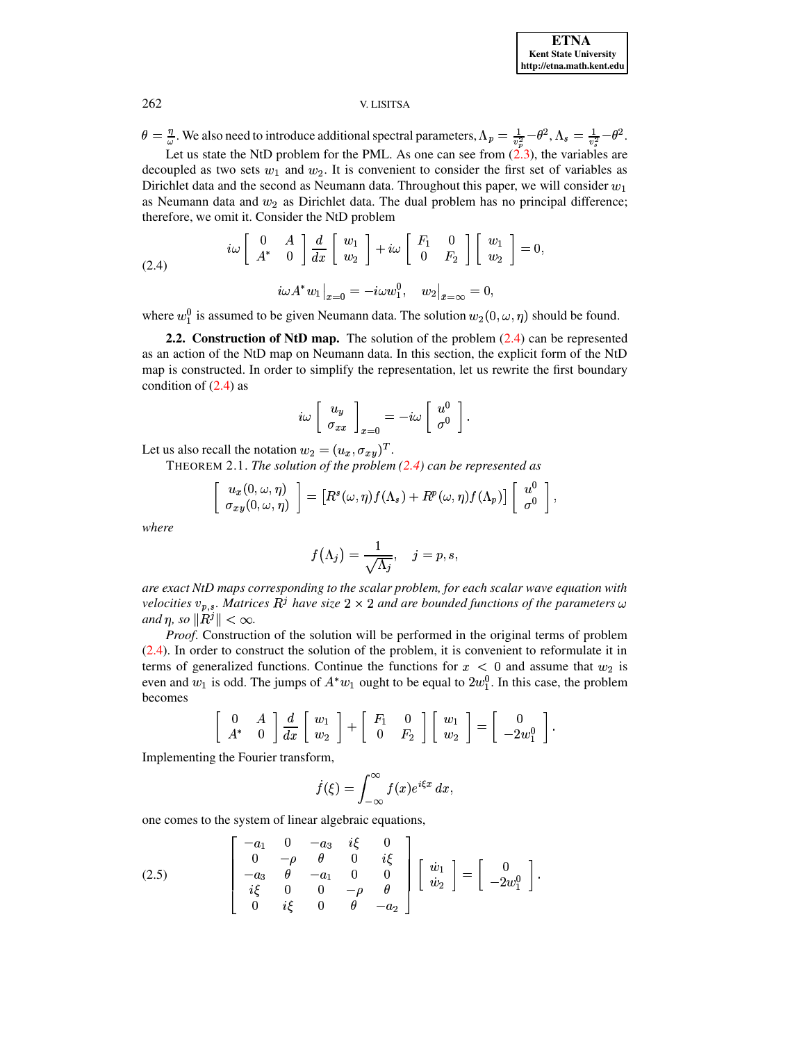$\theta = \frac{\eta}{\omega}$ . We also need to introduce additional spectral parameters,  $\Lambda_p = \frac{1}{v_s^2} - \theta^2$ ,  $\Lambda_s = \frac{1}{v_s^2} - \theta^2$ . Let us state the NtD problem for the PML. As one can see from  $(2.3)$ , the variables are

decoupled as two sets  $w_1$  and  $w_2$ . It is convenient to consider the first set of variables as Dirichlet data and the second as Neumann data. Throughout this paper, we will consider  $w_1$ as Neumann data and  $w_2$  as Dirichlet data. The dual problem has no principal difference; therefore, we omit it. Consider the NtD problem

<span id="page-4-0"></span>(2.4) 
$$
i\omega \begin{bmatrix} 0 & A \\ A^* & 0 \end{bmatrix} \frac{d}{dx} \begin{bmatrix} w_1 \\ w_2 \end{bmatrix} + i\omega \begin{bmatrix} F_1 & 0 \\ 0 & F_2 \end{bmatrix} \begin{bmatrix} w_1 \\ w_2 \end{bmatrix} = 0,
$$

$$
i\omega A^* w_1 \big|_{x=0} = -i\omega w_1^0, \quad w_2 \big|_{\tilde{x}=\infty} = 0,
$$

where  $w_1^0$  is assumed to be given Neumann data. The solution  $w_2(0, \omega, \eta)$  should be found.

2.2. Construction of NtD map. The solution of the problem  $(2.4)$  can be represented as an action of the NtD map on Neumann data. In this section, the explicit form of the NtD map is constructed. In order to simplify the representation, let us rewrite the first boundary condition of  $(2.4)$  as

<span id="page-4-1"></span>
$$
i\omega \left[\begin{array}{c} u_y \\ \sigma_{xx} \end{array}\right]_{x=0} = -i\omega \left[\begin{array}{c} u^0 \\ \sigma^0 \end{array}\right]
$$

Let us also recall the notation  $w_2 = (u_x, \sigma_{xy})^T$ .

THEOREM 2.1. The solution of the problem  $(2.4)$  can be represented as

$$
\begin{bmatrix} u_x(0, \omega, \eta) \\ \sigma_{xy}(0, \omega, \eta) \end{bmatrix} = \left[ R^s(\omega, \eta) f(\Lambda_s) + R^p(\omega, \eta) f(\Lambda_p) \right] \left[ \begin{array}{c} u^0 \\ \sigma^0 \end{array} \right]
$$

where

$$
f\big(\Lambda_j\big)=\frac{1}{\sqrt{\Lambda_j}},\quad j=p,s,
$$

are exact NtD maps corresponding to the scalar problem, for each scalar wave equation with velocities  $v_{p,s}$ . Matrices  $R^j$  have size 2  $\times$  2 and are bounded functions of the parameters  $\omega$ and  $\eta$ , so  $||R^j|| < \infty$ .

*Proof.* Construction of the solution will be performed in the original terms of problem (2.4). In order to construct the solution of the problem, it is convenient to reformulate it in terms of generalized functions. Continue the functions for  $x < 0$  and assume that  $w_2$  is even and  $w_1$  is odd. The jumps of  $A^*w_1$  ought to be equal to  $2w_1^0$ . In this case, the problem becomes

$$
\begin{bmatrix} 0 & A \\ A^* & 0 \end{bmatrix} \frac{d}{dx} \begin{bmatrix} w_1 \\ w_2 \end{bmatrix} + \begin{bmatrix} F_1 & 0 \\ 0 & F_2 \end{bmatrix} \begin{bmatrix} w_1 \\ w_2 \end{bmatrix} = \begin{bmatrix} 0 \\ -2w_1^0 \end{bmatrix}.
$$

Implementing the Fourier transform,

<span id="page-4-2"></span>
$$
\dot{f}(\xi) = \int_{-\infty}^{\infty} f(x)e^{i\xi x} dx,
$$

one comes to the system of linear algebraic equations,

(2.5) 
$$
\begin{bmatrix}\n-a_1 & 0 & -a_3 & i\xi & 0 \\
0 & -\rho & \theta & 0 & i\xi \\
-a_3 & \theta & -a_1 & 0 & 0 \\
i\xi & 0 & 0 & -\rho & \theta \\
0 & i\xi & 0 & \theta & -a_2\n\end{bmatrix}\n\begin{bmatrix}\n\dot{w}_1 \\
\dot{w}_2\n\end{bmatrix} = \begin{bmatrix}\n0 \\
-2w_1^0\n\end{bmatrix}
$$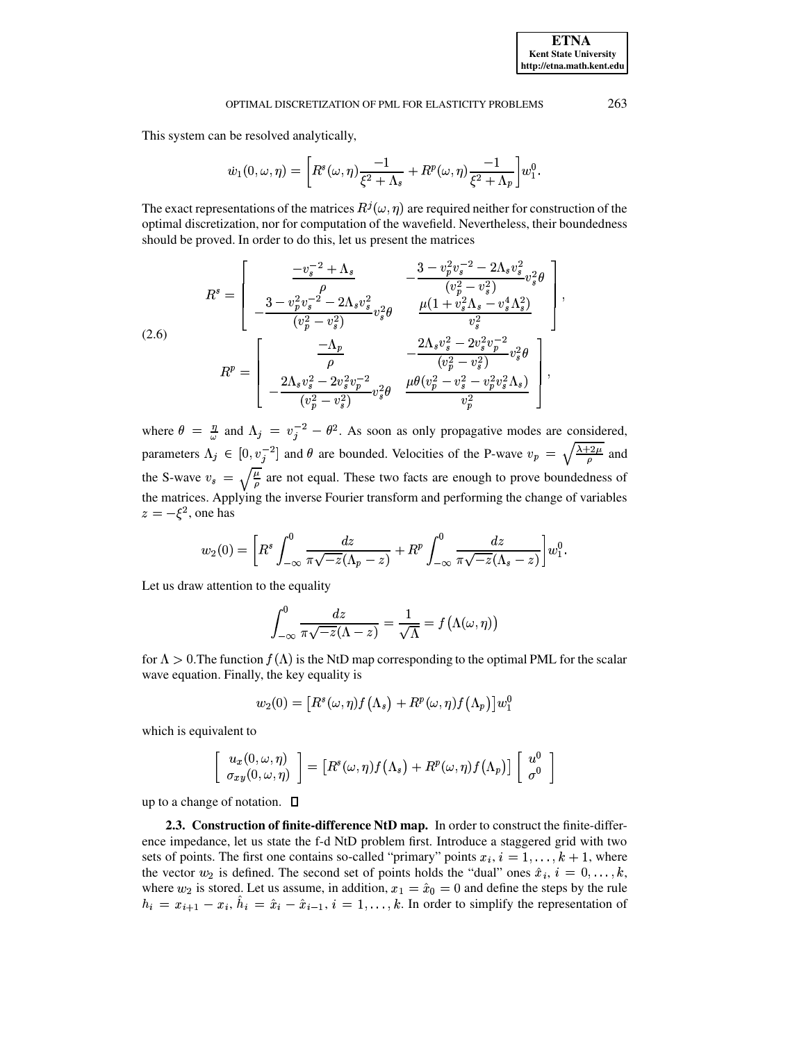This system can be resolved analytically,

<span id="page-5-0"></span>
$$
\dot{w}_1(0,\omega,\eta) = \left[ R^s(\omega,\eta) \frac{-1}{\xi^2 + \Lambda_s} + R^p(\omega,\eta) \frac{-1}{\xi^2 + \Lambda_p} \right] w_1^0.
$$

The exact representations of the matrices  $R^{j}(\omega, \eta)$  are required neither for construction of the optimal discretization, nor for computation of the wavefield. Nevertheless, their boundedness should be proved. In order to do this, let us present the matrices

$$
R^{s} = \begin{bmatrix} \frac{-v_{s}^{-2} + \Lambda_{s}}{\rho} & -\frac{3 - v_{p}^{2}v_{s}^{-2} - 2\Lambda_{s}v_{s}^{2}}{(v_{p}^{2} - v_{s}^{2})}v_{s}^{2}\theta \\ -\frac{3 - v_{p}^{2}v_{s}^{-2} - 2\Lambda_{s}v_{s}^{2}}{(v_{p}^{2} - v_{s}^{2})}v_{s}^{2}\theta & \frac{\mu(1 + v_{s}^{2}\Lambda_{s} - v_{s}^{4}\Lambda_{s}^{2})}{v_{s}^{2}} \\ \frac{-\Lambda_{p}}{\rho} & -\frac{2\Lambda_{s}v_{s}^{2} - 2v_{s}^{2}v_{p}^{-2}}{(v_{p}^{2} - v_{s}^{2})}v_{s}^{2}\theta \\ -\frac{2\Lambda_{s}v_{s}^{2} - 2v_{s}^{2}v_{p}^{-2}}{(v_{p}^{2} - v_{s}^{2})}v_{s}^{2}\theta & \frac{\mu\theta(v_{p}^{2} - v_{s}^{2} - v_{p}^{2}v_{s}^{2}\Lambda_{s})}{v_{p}^{2}} \end{bmatrix},
$$

where  $\theta = \frac{\eta}{\omega}$  and  $\Lambda_j = v_j^{-2} - \theta^2$ . As soon as only propagative modes are considered, parameters  $\Lambda_j \in [0, v_j^{-2}]$  and  $\theta$  are bounded. Velocities of the P-wave  $v_p = \sqrt{\frac{\lambda + 2\mu}{\rho}}$  and the S-wave  $v_s = \sqrt{\frac{\mu}{\rho}}$  are not equal. These two facts are enough to prove boundedness of the matrices. Applying the inverse Fourier transform and performing the change of variables  $z = -\xi^2$ , one has

$$
w_2(0) = \left[ R^s \int_{-\infty}^0 \frac{dz}{\pi \sqrt{-z}(\Lambda_p - z)} + R^p \int_{-\infty}^0 \frac{dz}{\pi \sqrt{-z}(\Lambda_s - z)} \right] w_1^0.
$$

Let us draw attention to the equality

$$
\int_{-\infty}^{0} \frac{dz}{\pi \sqrt{-z}(\Lambda - z)} = \frac{1}{\sqrt{\Lambda}} = f(\Lambda(\omega, \eta))
$$

for  $\Lambda > 0$ . The function  $f(\Lambda)$  is the NtD map corresponding to the optimal PML for the scalar wave equation. Finally, the key equality is

$$
w_2(0) = [R^s(\omega, \eta) f(\Lambda_s) + R^p(\omega, \eta) f(\Lambda_p)] w_1^0
$$

which is equivalent to

$$
\left[\begin{array}{c}u_x(0, \omega, \eta)\\ \sigma_{xy}(0, \omega, \eta)\end{array}\right] = \left[R^s(\omega, \eta)f(\Lambda_s) + R^p(\omega, \eta)f(\Lambda_p)\right]\left[\begin{array}{c}u^0\\ \sigma^0\end{array}\right]
$$

up to a change of notation.  $\Box$ 

2.3. Construction of finite-difference NtD map. In order to construct the finite-difference impedance, let us state the f-d NtD problem first. Introduce a staggered grid with two sets of points. The first one contains so-called "primary" points  $x_i$ ,  $i = 1, ..., k + 1$ , where the vector  $w_2$  is defined. The second set of points holds the "dual" ones  $\hat{x}_i$ ,  $i = 0, \ldots, k$ , where  $w_2$  is stored. Let us assume, in addition,  $x_1 = \hat{x}_0 = 0$  and define the steps by the rule  $h_i = x_{i+1} - x_i$ ,  $\hat{h}_i = \hat{x}_i - \hat{x}_{i-1}$ ,  $i = 1, \ldots, k$ . In order to simplify the representation of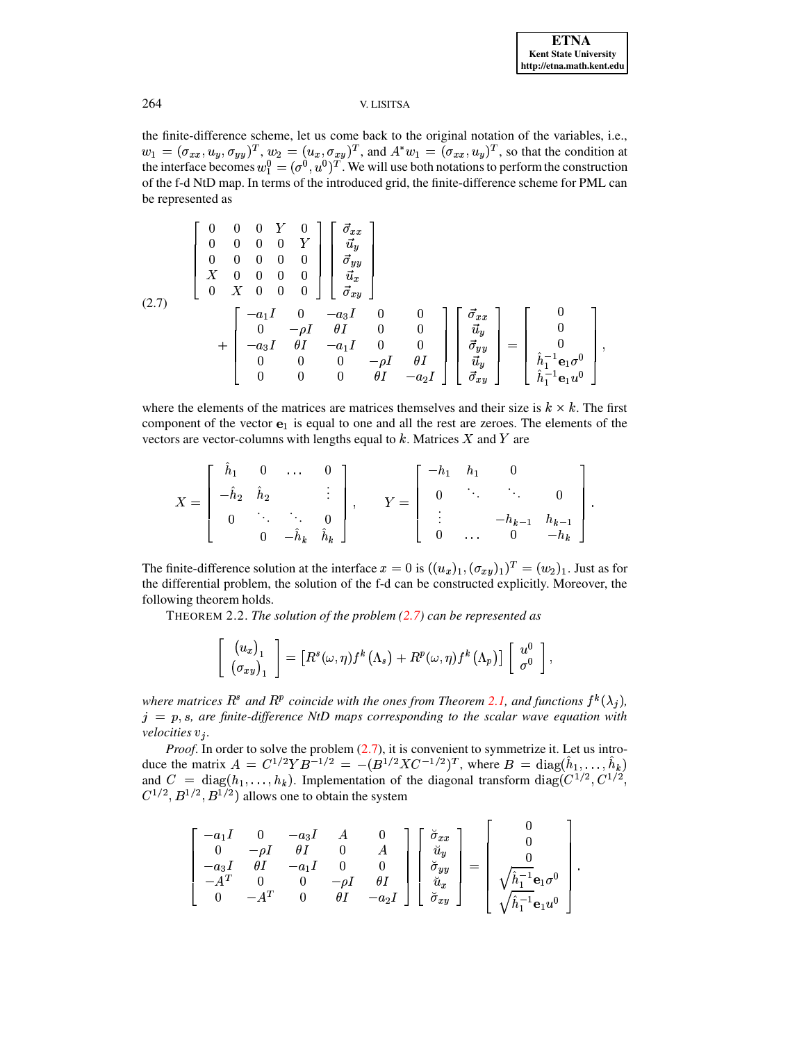the finite-difference scheme, let us come back to the original notation of the variables, i.e.,  $w_1 = (\sigma_{xx}, u_y, \sigma_{yy})^T$ ,  $w_2 = (u_x, \sigma_{xy})^T$ , and  $A^* w_1 = (\sigma_{xx}, u_y)^T$ , so that the condition at the interface becomes  $w_1^0 = (\sigma^0, u^0)^T$ . We will use both notations to perform the construction of the f-d NtD map. In terms of the introduced grid, the finite-difference scheme for PML can be represented as

<span id="page-6-0"></span>
$$
(2.7) \qquad \begin{bmatrix} 0 & 0 & 0 & Y & 0 \\ 0 & 0 & 0 & 0 & Y \\ 0 & 0 & 0 & 0 & 0 \\ X & 0 & 0 & 0 & 0 \\ 0 & X & 0 & 0 & 0 \end{bmatrix} \begin{bmatrix} \vec{\sigma}_{xx} \\ \vec{u}_y \\ \vec{\sigma}_{yy} \\ \vec{\sigma}_{xy} \end{bmatrix}
$$
  
+ 
$$
\begin{bmatrix} -a_1 I & 0 & -a_3 I & 0 & 0 \\ 0 & -\rho I & \theta I & 0 & 0 \\ -a_3 I & \theta I & -a_1 I & 0 & 0 \\ 0 & 0 & 0 & -\rho I & \theta I \\ 0 & 0 & 0 & \theta I & -a_2 I \end{bmatrix} \begin{bmatrix} \vec{\sigma}_{xx} \\ \vec{u}_y \\ \vec{u}_y \\ \vec{u}_y \\ \vec{u}_y \\ \vec{u}_y \\ \vec{h}_1^{-1} \mathbf{e}_1 \sigma^0 \\ \hat{h}_1^{-1} \mathbf{e}_1 u^0 \end{bmatrix}
$$

where the elements of the matrices are matrices themselves and their size is  $k \times k$ . The first component of the vector  $e_1$  is equal to one and all the rest are zeroes. The elements of the vectors are vector-columns with lengths equal to  $k$ . Matrices  $X$  and  $Y$  are

$$
X = \begin{bmatrix} \hat{h}_1 & 0 & \cdots & 0 \\ -\hat{h}_2 & \hat{h}_2 & & \vdots \\ 0 & \ddots & \ddots & 0 \\ 0 & -\hat{h}_k & \hat{h}_k \end{bmatrix}, \qquad Y = \begin{bmatrix} -h_1 & h_1 & 0 \\ 0 & \ddots & \ddots & 0 \\ \vdots & & -h_{k-1} & h_{k-1} \\ 0 & \cdots & 0 & -h_k \end{bmatrix}
$$

<span id="page-6-1"></span>The finite-difference solution at the interface  $x = 0$  is  $((u_x)_1, (\sigma_{xy})_1)^T = (w_2)_1$ . Just as for the differential problem, the solution of the f-d can be constructed explicitly. Moreover, the following theorem holds.

THEOREM 2.2. The solution of the problem  $(2.7)$  can be represented as

$$
\left[\begin{array}{c} (u_x)_1 \\ (\sigma_{xy})_1 \end{array}\right] = \left[R^s(\omega,\eta)f^k(\Lambda_s) + R^p(\omega,\eta)f^k(\Lambda_p)\right] \left[\begin{array}{c} u^0 \\ \sigma^0 \end{array}\right],
$$

where matrices  $R^s$  and  $R^p$  coincide with the ones from Theorem 2.1, and functions  $f^k(\lambda_j)$ ,  $j = p$ , s, are finite-difference NtD maps corresponding to the scalar wave equation with velocities  $v_i$ .

*Proof.* In order to solve the problem  $(2.7)$ , it is convenient to symmetrize it. Let us introduce the matrix  $A = C^{1/2}YB^{-1/2} = -(B^{1/2}XC^{-1/2})^T$ , where  $B = \text{diag}(\hat{h}_1, ..., \hat{h}_k)$ and  $C = diag(h_1, ..., h_k)$ . Implementation of the diagonal transform  $diag(C^{1/2}, C^{1/2},$  $C^{1/2}, B^{1/2}, B^{1/2}$  allows one to obtain the system

$$
\begin{bmatrix} -a_1I & 0 & -a_3I & A & 0 \ 0 & -\rho I & \theta I & 0 & A \ -a_3I & \theta I & -a_1I & 0 & 0 \ -A^T & 0 & 0 & -\rho I & \theta I \ 0 & -A^T & 0 & \theta I & -a_2I \ \end{bmatrix} \begin{bmatrix} \check{\sigma}_{xx} \\ \check{u}_y \\ \check{\sigma}_{yy} \\ \check{u}_x \\ \check{\sigma}_{xy} \end{bmatrix} = \begin{bmatrix} 0 \\ 0 \\ 0 \\ \sqrt{\hat{h}_1^{-1}} \mathbf{e}_1 \sigma^0 \\ \sqrt{\hat{h}_1^{-1}} \mathbf{e}_1 u^0 \end{bmatrix}.
$$

 $\mathbf{r}$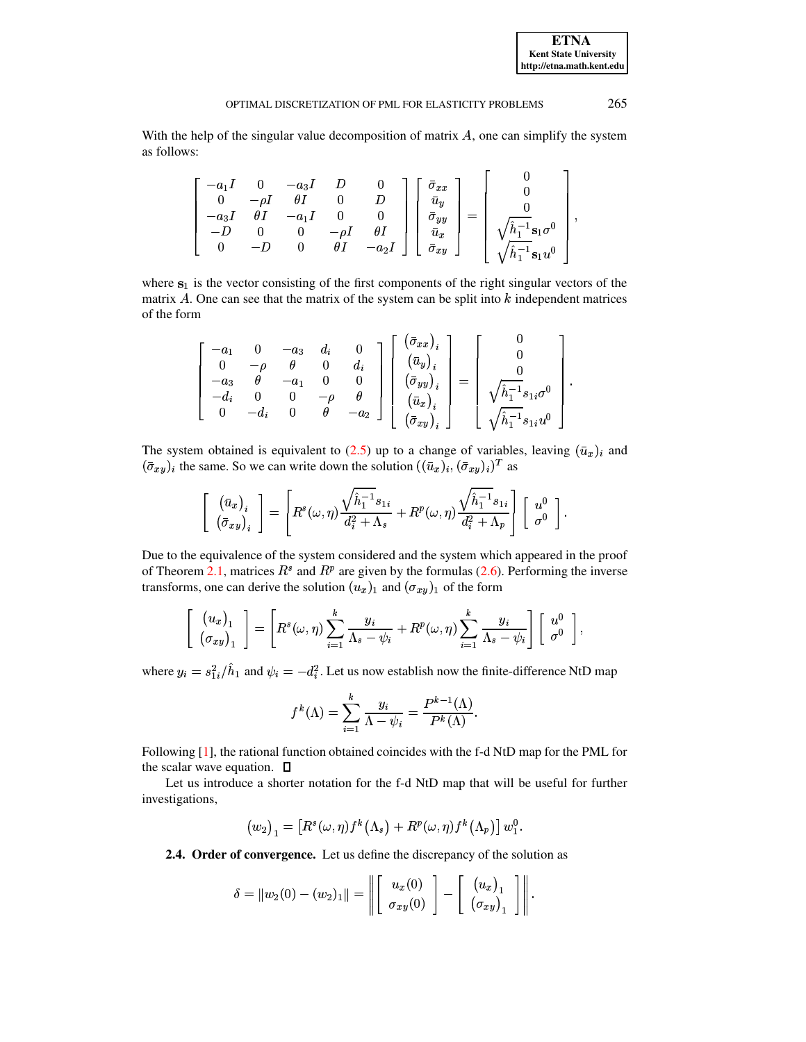With the help of the singular value decomposition of matrix  $A$ , one can simplify the system as follows:

|  |      | $\begin{array}{ccc} -a_1 I & 0 & -a_3 I & D \ 0 & -\rho I & \theta I & 0 \ -a_3 I & \theta I & -a_1 I & 0 \end{array}$ |            | $-\rho I$ $\theta I$ | $\bar{\sigma}_{x\,x}$<br>$\bar{u}_y$<br>$\frac{\bar{\sigma}_{yy}}{\bar{u}_x}$ | $\sqrt{\hat{h}_1^{-1}} \mathbf{s}_1 \sigma^0$      |
|--|------|------------------------------------------------------------------------------------------------------------------------|------------|----------------------|-------------------------------------------------------------------------------|----------------------------------------------------|
|  | $-D$ | 0                                                                                                                      | $\theta I$ | $-a_2I$              | $\bar{\sigma}_{xy}$                                                           | $\hat{h}_1^{-1}$ s <sub>1</sub> $u^0$ <sub>1</sub> |

where  $s_1$  is the vector consisting of the first components of the right singular vectors of the matrix  $A$ . One can see that the matrix of the system can be split into  $k$  independent matrices of the form

$$
\left[\begin{array}{cccc} -a_1 & 0 & -a_3 & d_i & 0 \\ 0 & -\rho & \theta & 0 & d_i \\ -a_3 & \theta & -a_1 & 0 & 0 \\ -d_i & 0 & 0 & -\rho & \theta \\ 0 & -d_i & 0 & \theta & -a_2 \end{array}\right] \left[\begin{array}{c} (\bar{\sigma}_{xx})_i \\ (\bar{u}_y)_i \\ (\bar{\sigma}_{yy})_i \\ (\bar{u}_x)_i \\ (\bar{\sigma}_{xy})_i \end{array}\right] = \left[\begin{array}{c} 0 \\ 0 \\ 0 \\ \sqrt{\hat{h}_1^{-1}} s_{1i} \sigma^0 \\ \sqrt{\hat{h}_1^{-1}} s_{1i} u^0 \end{array}\right]
$$

The system obtained is equivalent to (2.5) up to a change of variables, leaving  $(\bar{u}_x)_i$  and  $(\bar{\sigma}_{xy})_i$  the same. So we can write down the solution  $((\bar{u}_x)_i, (\bar{\sigma}_{xy})_i)^T$  as

$$
\left[\begin{array}{c} \left(\bar{u}_x\right)_i \\ \left(\bar{\sigma}_{xy}\right)_i \end{array}\right] = \left[R^s(\omega,\eta)\frac{\sqrt{\hat{h}_1^{-1}}s_{1i}}{d_i^2 + \Lambda_s} + R^p(\omega,\eta)\frac{\sqrt{\hat{h}_1^{-1}}s_{1i}}{d_i^2 + \Lambda_p}\right]\left[\begin{array}{c} u^0 \\ \sigma^0 \end{array}\right].
$$

Due to the equivalence of the system considered and the system which appeared in the proof of Theorem 2.1, matrices  $R^s$  and  $R^p$  are given by the formulas (2.6). Performing the inverse transforms, one can derive the solution  $(u_x)_1$  and  $(\sigma_{xy})_1$  of the form

$$
\left[\begin{array}{c} (u_x)_1 \\ (\sigma_{xy})_1 \end{array}\right] = \left[R^s(\omega,\eta) \sum_{i=1}^k \frac{y_i}{\Lambda_s - \psi_i} + R^p(\omega,\eta) \sum_{i=1}^k \frac{y_i}{\Lambda_s - \psi_i}\right] \left[\begin{array}{c} u^0 \\ \sigma^0 \end{array}\right],
$$

where  $y_i = s_{1i}^2 / \hat{h}_1$  and  $\psi_i = -d_i^2$ . Let us now establish now the finite-difference NtD map

$$
f^{k}(\Lambda) = \sum_{i=1}^{k} \frac{y_i}{\Lambda - \psi_i} = \frac{P^{k-1}(\Lambda)}{P^k(\Lambda)}.
$$

Following [1], the rational function obtained coincides with the f-d NtD map for the PML for the scalar wave equation.  $\Box$ 

Let us introduce a shorter notation for the f-d NtD map that will be useful for further investigations,

$$
(w_2)_1 = [R^s(\omega, \eta) f^k(\Lambda_s) + R^p(\omega, \eta) f^k(\Lambda_p)] w_1^0.
$$

2.4. Order of convergence. Let us define the discrepancy of the solution as

$$
\delta = \|w_2(0) - (w_2)_1\| = \left\| \left[ \begin{array}{c} u_x(0) \\ \sigma_{xy}(0) \end{array} \right] - \left[ \begin{array}{c} (u_x)_1 \\ (\sigma_{xy})_1 \end{array} \right] \right\|.
$$

265

**ETNA Kent State University** http://etna.math.kent.edu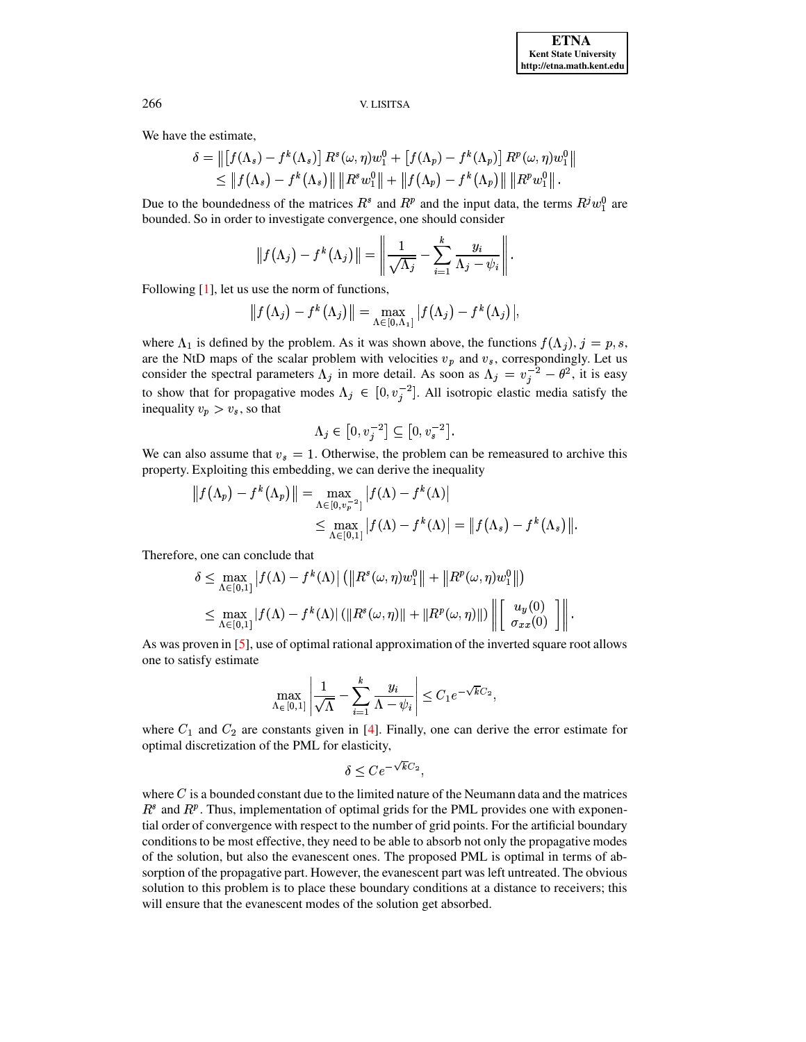We have the estimate,

$$
\delta = \| [f(\Lambda_s) - f^k(\Lambda_s)] R^s(\omega, \eta) w_1^0 + [f(\Lambda_p) - f^k(\Lambda_p)] R^p(\omega, \eta) w_1^0 \| \leq \| f(\Lambda_s) - f^k(\Lambda_s) \| \| R^s w_1^0 \| + \| f(\Lambda_p) - f^k(\Lambda_p) \| \| R^p w_1^0 \|.
$$

Due to the boundedness of the matrices  $R^s$  and  $R^p$  and the input data, the terms  $R^j w_1^0$  are bounded. So in order to investigate convergence, one should consider

$$
\|f(\Lambda_j)-f^k(\Lambda_j)\|=\left\|\frac{1}{\sqrt{\Lambda_j}}-\sum_{i=1}^k\frac{y_i}{\Lambda_j-\psi_i}\right\|
$$

Following  $[1]$ , let us use the norm of functions,

$$
|| f(\Lambda_j) - f^k(\Lambda_j)|| = \max_{\Lambda \in [0,\Lambda_1]} | f(\Lambda_j) - f^k(\Lambda_j) |,
$$

where  $\Lambda_1$  is defined by the problem. As it was shown above, the functions  $f(\Lambda_j)$ ,  $j = p, s$ , are the NtD maps of the scalar problem with velocities  $v_p$  and  $v_s$ , correspondingly. Let us consider the spectral parameters  $\Lambda_j$  in more detail. As soon as  $\Lambda_j = v_j^{-2} - \theta^2$ , it is easy to show that for propagative modes  $\Lambda_j \in [0, v_j^{-2}]$ . All isotropic elastic media satisfy the inequality  $v_p > v_s$ , so that

$$
\Lambda_j\in\left[0,v_j^{-2}\right]\subseteq\left[0,v_s^{-2}\right]
$$

We can also assume that  $v_s = 1$ . Otherwise, the problem can be remeasured to archive this property. Exploiting this embedding, we can derive the inequality

$$
|| f(\Lambda_p) - f^k(\Lambda_p) || = \max_{\Lambda \in [0, v_p^{-2}]} | f(\Lambda) - f^k(\Lambda) |
$$
  

$$
\leq \max_{\Lambda \in [0,1]} | f(\Lambda) - f^k(\Lambda) | = || f(\Lambda_s) - f^k(\Lambda_s) ||.
$$

Therefore, one can conclude that

$$
\delta \leq \max_{\Lambda \in [0,1]} |f(\Lambda) - f^k(\Lambda)| \left( \|R^s(\omega, \eta)w_1^0\| + \|R^p(\omega, \eta)w_1^0\| \right)
$$
  

$$
\leq \max_{\Lambda \in [0,1]} |f(\Lambda) - f^k(\Lambda)| \left( \|R^s(\omega, \eta)\| + \|R^p(\omega, \eta)\| \right) \left\| \begin{bmatrix} u_y(0) \\ \sigma_{xx}(0) \end{bmatrix} \right\|
$$

As was proven in  $[5]$ , use of optimal rational approximation of the inverted square root allows one to satisfy estimate

$$
\max_{\Lambda \in [0,1]} \left| \frac{1}{\sqrt{\Lambda}} - \sum_{i=1}^k \frac{y_i}{\Lambda - \psi_i} \right| \le C_1 e^{-\sqrt{k}C_2},
$$

where  $C_1$  and  $C_2$  are constants given in [4]. Finally, one can derive the error estimate for optimal discretization of the PML for elasticity,

$$
\delta < C e^{-\sqrt{k}C_2}
$$

where  $C$  is a bounded constant due to the limited nature of the Neumann data and the matrices  $R^s$  and  $R^p$ . Thus, implementation of optimal grids for the PML provides one with exponential order of convergence with respect to the number of grid points. For the artificial boundary conditions to be most effective, they need to be able to absorb not only the propagative modes of the solution, but also the evanescent ones. The proposed PML is optimal in terms of absorption of the propagative part. However, the evanescent part was left untreated. The obvious solution to this problem is to place these boundary conditions at a distance to receivers; this will ensure that the evanescent modes of the solution get absorbed.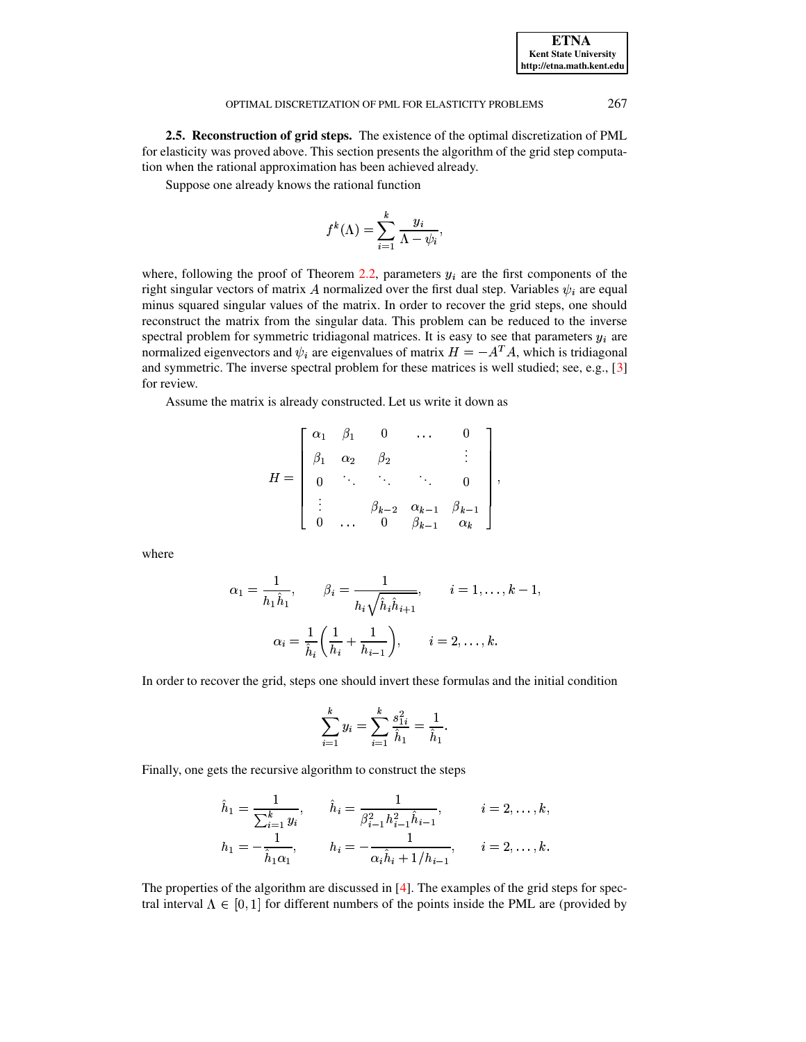2.5. Reconstruction of grid steps. The existence of the optimal discretization of PML for elasticity was proved above. This section presents the algorithm of the grid step computation when the rational approximation has been achieved already.

Suppose one already knows the rational function

$$
f^{k}(\Lambda) = \sum_{i=1}^{k} \frac{y_i}{\Lambda - \psi_i},
$$

where, following the proof of Theorem 2.2, parameters  $y_i$  are the first components of the right singular vectors of matrix A normalized over the first dual step. Variables  $\psi_i$  are equal minus squared singular values of the matrix. In order to recover the grid steps, one should reconstruct the matrix from the singular data. This problem can be reduced to the inverse spectral problem for symmetric tridiagonal matrices. It is easy to see that parameters  $y_i$  are normalized eigenvectors and  $\psi_i$  are eigenvalues of matrix  $H = -A^T A$ , which is tridiagonal and symmetric. The inverse spectral problem for these matrices is well studied; see, e.g., [3] for review.

Assume the matrix is already constructed. Let us write it down as

$$
H = \begin{bmatrix} \alpha_1 & \beta_1 & 0 & \dots & 0 \\ \beta_1 & \alpha_2 & \beta_2 & & \vdots \\ 0 & \ddots & \ddots & \ddots & 0 \\ \vdots & & \beta_{k-2} & \alpha_{k-1} & \beta_{k-1} \\ 0 & \dots & 0 & \beta_{k-1} & \alpha_k \end{bmatrix},
$$

where

$$
\alpha_1 = \frac{1}{h_1 \hat{h}_1}, \qquad \beta_i = \frac{1}{h_i \sqrt{\hat{h}_i \hat{h}_{i+1}}}, \qquad i = 1, \dots, k-1,
$$

$$
\alpha_i = \frac{1}{\hat{h}_i} \left( \frac{1}{h_i} + \frac{1}{h_{i-1}} \right), \qquad i = 2, \dots, k.
$$

In order to recover the grid, steps one should invert these formulas and the initial condition

$$
\sum_{i=1}^k y_i = \sum_{i=1}^k \frac{s_{1i}^2}{\hat{h}_1} = \frac{1}{\hat{h}_1}.
$$

Finally, one gets the recursive algorithm to construct the steps

$$
\hat{h}_1 = \frac{1}{\sum_{i=1}^k y_i}, \qquad \hat{h}_i = \frac{1}{\beta_{i-1}^2 h_{i-1}^2 \hat{h}_{i-1}}, \qquad i = 2, \dots, k,
$$
  

$$
h_1 = -\frac{1}{\hat{h}_1 \alpha_1}, \qquad h_i = -\frac{1}{\alpha_i \hat{h}_i + 1/h_{i-1}}, \qquad i = 2, \dots, k.
$$

The properties of the algorithm are discussed in  $[4]$ . The examples of the grid steps for spectral interval  $\Lambda \in [0,1]$  for different numbers of the points inside the PML are (provided by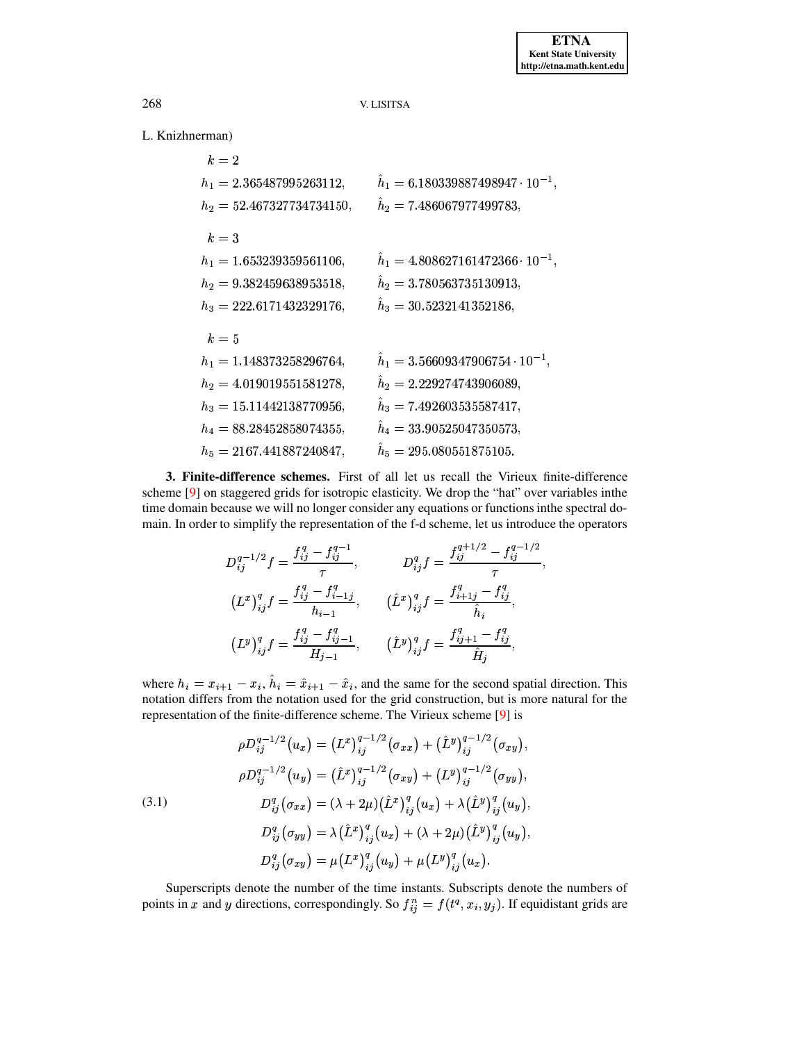# L. Knizhnerman)

| $k=2$                       |                                                 |
|-----------------------------|-------------------------------------------------|
| $h_1 = 2.365487995263112,$  | $\hat{h}_1 = 6.180339887498947 \cdot 10^{-1}$ , |
| $h_2 = 52.467327734734150,$ | $h_2 = 7.486067977499783,$                      |
| $k=3$                       |                                                 |
| $h_1 = 1.653239359561106,$  | $\hat{h}_1 = 4.808627161472366 \cdot 10^{-1},$  |
| $h_2 = 9.382459638953518,$  | $\hat{h}_2 = 3.780563735130913,$                |
| $h_3 = 222.6171432329176,$  | $\hat{h}_3 = 30.5232141352186,$                 |
| $k=5$                       |                                                 |
| $h_1 = 1.148373258296764,$  | $\hat{h}_1 = 3.56609347906754 \cdot 10^{-1},$   |
| $h_2 = 4.019019551581278,$  | $h_2 = 2.229274743906089,$                      |
| $h_3 = 15.11442138770956,$  | $\hat{h}_3 = 7.492603535587417,$                |
| $h_4 = 88.28452858074355,$  | $\hat{h}_4 = 33.90525047350573,$                |
| $h_5 = 2167.441887240847,$  | $\hat{h}_5 = 295.080551875105.$                 |

<span id="page-10-0"></span>3. Finite-difference schemes. First of all let us recall the Virieux finite-difference scheme  $[9]$  on staggered grids for isotropic elasticity. We drop the "hat" over variables in the time domain because we will no longer consider any equations or functions inthe spectral domain. In order to simplify the representation of the f-d scheme, let us introduce the operators

$$
D_{ij}^{q-1/2}f = \frac{f_{ij}^q - f_{ij}^{q-1}}{\tau}, \qquad D_{ij}^q f = \frac{f_{ij}^{q+1/2} - f_{ij}^{q-1/2}}{\tau},
$$
  
\n
$$
(L^x)_{ij}^q f = \frac{f_{ij}^q - f_{i-1j}^q}{h_{i-1}}, \qquad (\hat{L}^x)_{ij}^q f = \frac{f_{i+1j}^q - f_{ij}^q}{\hat{h}_i},
$$
  
\n
$$
(L^y)_{ij}^q f = \frac{f_{ij}^q - f_{ij-1}^q}{H_{j-1}}, \qquad (\hat{L}^y)_{ij}^q f = \frac{f_{ij+1}^q - f_{ij}^q}{\hat{H}_j},
$$

where  $h_i = x_{i+1} - x_i$ ,  $\hat{h}_i = \hat{x}_{i+1} - \hat{x}_i$ , and the same for the second spatial direction. This notation differs from the notation used for the grid construction, but is more natural for the representation of the finite-difference scheme. The Virieux scheme [9] is

(3.1)  
\n
$$
\rho D_{ij}^{q-1/2} (u_x) = (L^x)_{ij}^{q-1/2} (\sigma_{xx}) + (\hat{L}^y)_{ij}^{q-1/2} (\sigma_{xy}),
$$
\n
$$
\rho D_{ij}^{q-1/2} (u_y) = (\hat{L}^x)_{ij}^{q-1/2} (\sigma_{xy}) + (L^y)_{ij}^{q-1/2} (\sigma_{yy}),
$$
\n
$$
D_{ij}^q (\sigma_{xx}) = (\lambda + 2\mu) (\hat{L}^x)_{ij}^q (u_x) + \lambda (\hat{L}^y)_{ij}^q (u_y),
$$
\n
$$
D_{ij}^q (\sigma_{yy}) = \lambda (\hat{L}^x)_{ij}^q (u_x) + (\lambda + 2\mu) (\hat{L}^y)_{ij}^q (u_y),
$$
\n
$$
D_{ij}^q (\sigma_{xy}) = \mu (L^x)_{ij}^q (u_y) + \mu (L^y)_{ij}^q (u_x).
$$

Superscripts denote the number of the time instants. Subscripts denote the numbers of points in x and y directions, correspondingly. So  $f_{ij}^n = f(t^q, x_i, y_j)$ . If equidistant grids are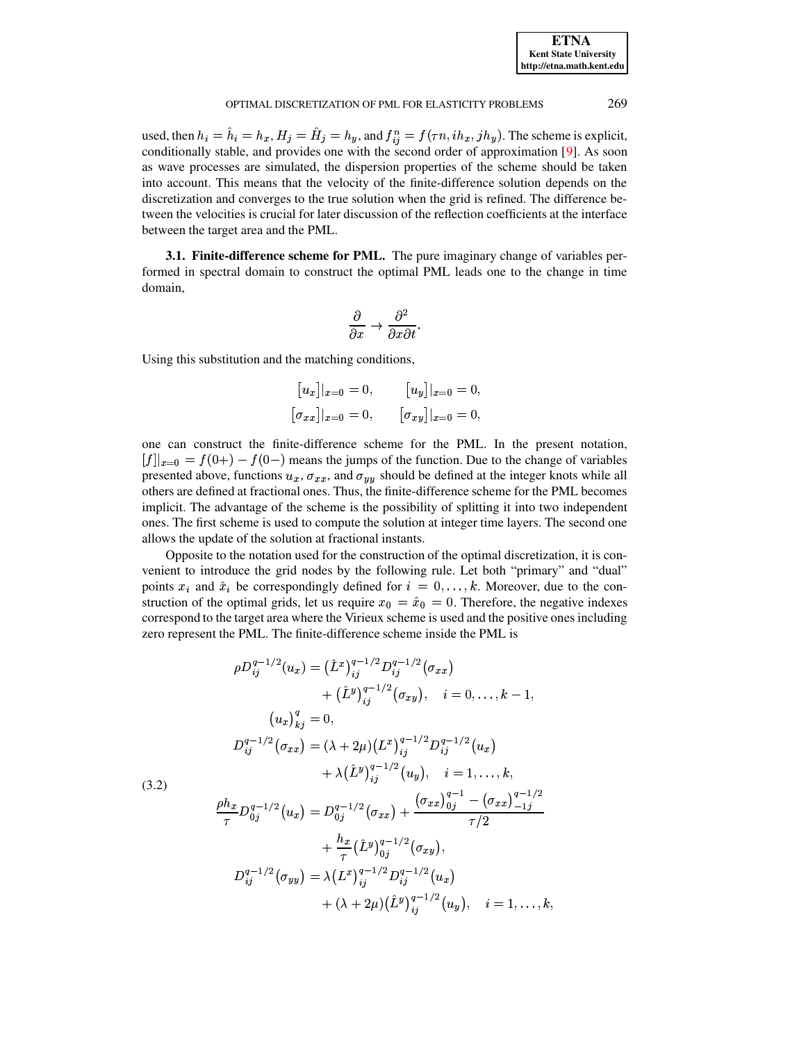| <b>ETNA</b>                  |  |  |  |  |  |  |
|------------------------------|--|--|--|--|--|--|
| <b>Kent State University</b> |  |  |  |  |  |  |
| http://etna.math.kent.edu    |  |  |  |  |  |  |

269

#### OPTIMAL DISCRETIZATION OF PML FOR ELASTICITY PROBLEMS

used, then  $h_i = h_i = h_x$ ,  $H_j = H_j = h_y$ , and  $f_{ij}^n = f(\tau n, i h_x, j h_y)$ . The scheme is explicit, conditionally stable, and provides one with the second order of approximation [9]. As soon as wave processes are simulated, the dispersion properties of the scheme should be taken into account. This means that the velocity of the finite-difference solution depends on the discretization and converges to the true solution when the grid is refined. The difference between the velocities is crucial for later discussion of the reflection coefficients at the interface between the target area and the PML.

**3.1. Finite-difference scheme for PML.** The pure imaginary change of variables performed in spectral domain to construct the optimal PML leads one to the change in time domain,

$$
\frac{\partial}{\partial x} \to \frac{\partial^2}{\partial x \partial t}
$$

Using this substitution and the matching conditions,

$$
[u_x]|_{x=0} = 0, \t [u_y]|_{x=0} = 0,
$$
  

$$
[\sigma_{xx}]|_{x=0} = 0, \t [\sigma_{xy}]|_{x=0} = 0,
$$

one can construct the finite-difference scheme for the PML. In the present notation,  $[f]_{x=0} = f(0+) - f(0-)$  means the jumps of the function. Due to the change of variables presented above, functions  $u_x$ ,  $\sigma_{xx}$ , and  $\sigma_{yy}$  should be defined at the integer knots while all others are defined at fractional ones. Thus, the finite-difference scheme for the PML becomes implicit. The advantage of the scheme is the possibility of splitting it into two independent ones. The first scheme is used to compute the solution at integer time layers. The second one allows the update of the solution at fractional instants.

Opposite to the notation used for the construction of the optimal discretization, it is convenient to introduce the grid nodes by the following rule. Let both "primary" and "dual" points  $x_i$  and  $\hat{x}_i$  be correspondingly defined for  $i = 0, \ldots, k$ . Moreover, due to the construction of the optimal grids, let us require  $x_0 = \hat{x}_0 = 0$ . Therefore, the negative indexes correspond to the target area where the Virieux scheme is used and the positive ones including zero represent the PML. The finite-difference scheme inside the PML is

$$
\rho D_{ij}^{q-1/2}(u_x) = (\hat{L}^x)^{q-1/2}_{ij} D_{ij}^{q-1/2}(\sigma_{xx})
$$
  
+  $(\hat{L}^y)^{q-1/2}_{ij}(\sigma_{xy}), \quad i = 0, ..., k - 1,$   

$$
(u_x)^q_{kj} = 0,
$$
  

$$
D_{ij}^{q-1/2}(\sigma_{xx}) = (\lambda + 2\mu)(L^x)^{q-1/2}_{ij} D_{ij}^{q-1/2}(u_x)
$$
  
+  $\lambda(\hat{L}^y)^{q-1/2}_{ij}(u_y), \quad i = 1, ..., k,$   

$$
\frac{\rho h_x}{\tau} D_{0j}^{q-1/2}(u_x) = D_{0j}^{q-1/2}(\sigma_{xx}) + \frac{(\sigma_{xx})^{q-1}_{0j} - (\sigma_{xx})^{q-1/2}_{-1j}}{\tau/2}
$$
  
+  $\frac{h_x}{\tau}(\hat{L}^y)^{q-1/2}_{0j}(\sigma_{xy}),$   

$$
D_{ij}^{q-1/2}(\sigma_{yy}) = \lambda(L^x)^{q-1/2}_{ij} D_{ij}^{q-1/2}(u_x)
$$
  
+  $(\lambda + 2\mu)(\hat{L}^y)^{q-1/2}_{ij}(u_y), \quad i = 1, ..., k$ 

<span id="page-11-0"></span> $(3.2)$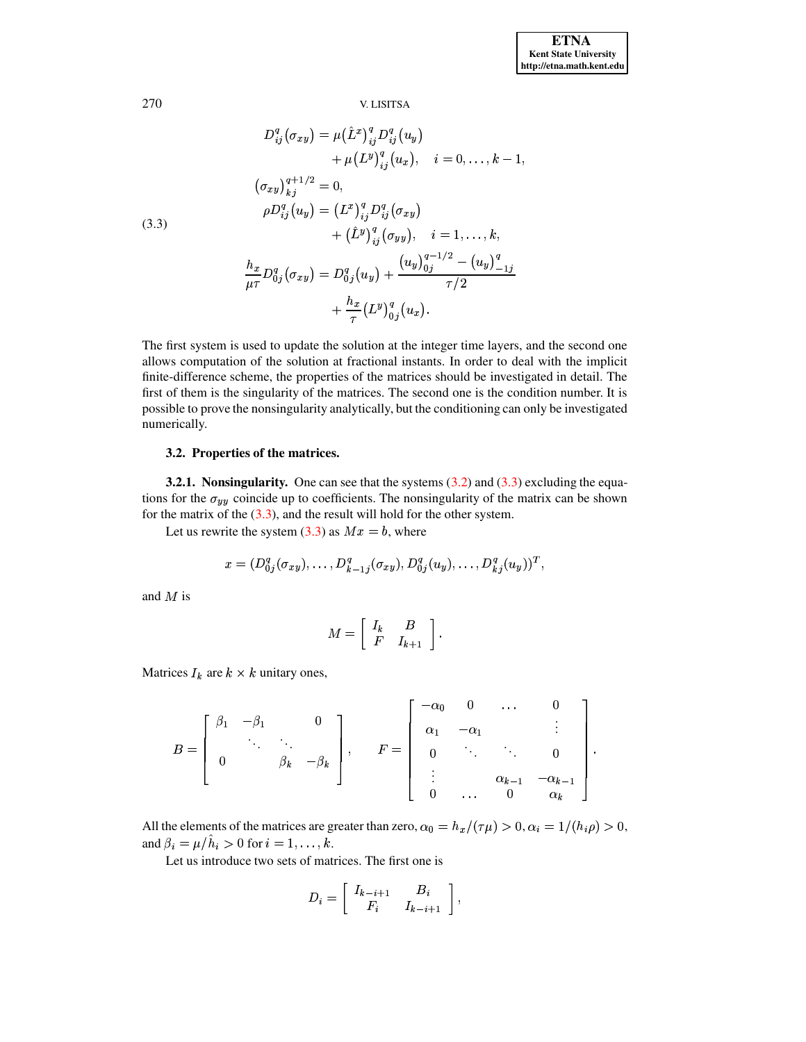<span id="page-12-0"></span>(3.3)  
\n
$$
D_{ij}^{q}(\sigma_{xy}) = \mu (\hat{L}^{x})_{ij}^{q} D_{ij}^{q}(u_{y}) + \mu (L^{y})_{ij}^{q}(u_{x}), \quad i = 0, ..., k - 1,
$$
\n
$$
(\sigma_{xy})_{kj}^{q+1/2} = 0,
$$
\n
$$
\rho D_{ij}^{q}(u_{y}) = (L^{x})_{ij}^{q} D_{ij}^{q}(\sigma_{xy}) + (\hat{L}^{y})_{ij}^{q}(\sigma_{yy}), \quad i = 1, ..., k,
$$
\n
$$
\frac{h_{x}}{\mu \tau} D_{0j}^{q}(\sigma_{xy}) = D_{0j}^{q}(u_{y}) + \frac{(u_{y})_{0j}^{q-1/2} - (u_{y})_{-1j}^{q}}{\tau/2} + \frac{h_{x}}{\tau} (L^{y})_{0j}^{q}(u_{x}).
$$

The first system is used to update the solution at the integer time layers, and the second one allows computation of the solution at fractional instants. In order to deal with the implicit finite-difference scheme, the properties of the matrices should be investigated in detail. The first of them is the singularity of the matrices. The second one is the condition number. It is possible to prove the nonsingularity analytically, but the conditioning can only be investigated numerically.

# 3.2. Properties of the matrices.

**3.2.1. Nonsingularity.** One can see that the systems  $(3.2)$  and  $(3.3)$  excluding the equations for the  $\sigma_{yy}$  coincide up to coefficients. The nonsingularity of the matrix can be shown for the matrix of the  $(3.3)$ , and the result will hold for the other system.

Let us rewrite the system  $(3.3)$  as  $Mx = b$ , where

$$
x = (D_{0j}^q(\sigma_{xy}), \ldots, D_{k-1j}^q(\sigma_{xy}), D_{0j}^q(u_y), \ldots, D_{kj}^q(u_y))^T,
$$

and  $M$  is

$$
M = \left[ \begin{array}{cc} I_k & B \\ F & I_{k+1} \end{array} \right].
$$

Matrices  $I_k$  are  $k \times k$  unitary ones,

$$
B = \begin{bmatrix} \beta_1 & -\beta_1 & & 0 \\ & \ddots & \ddots & \\ 0 & & \beta_k & -\beta_k \end{bmatrix}, \quad F = \begin{bmatrix} -\alpha_0 & 0 & \dots & 0 \\ \alpha_1 & -\alpha_1 & & \vdots \\ 0 & \ddots & \ddots & 0 \\ \vdots & & \alpha_{k-1} & -\alpha_{k-1} \\ 0 & \dots & 0 & \alpha_k \end{bmatrix}
$$

All the elements of the matrices are greater than zero,  $\alpha_0 = h_x/(\tau \mu) > 0$ ,  $\alpha_i = 1/(h_i \rho) > 0$ , and  $\beta_i = \mu/\hat{h}_i > 0$  for  $i = 1, \ldots, k$ .

Let us introduce two sets of matrices. The first one is

$$
D_i = \left[ \begin{array}{cc} I_{k-i+1} & B_i \\ F_i & I_{k-i+1} \end{array} \right],
$$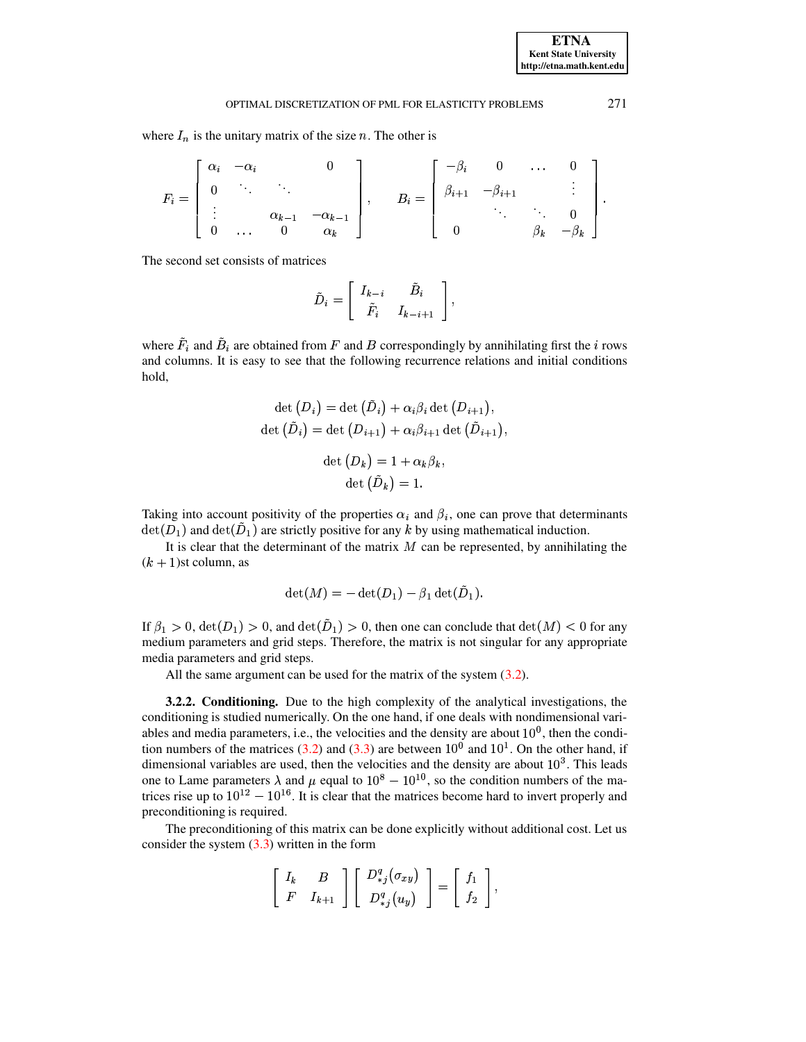where  $I_n$  is the unitary matrix of the size n. The other is

$$
F_i = \begin{bmatrix} \alpha_i & -\alpha_i & & & 0 \\ 0 & \ddots & & & \\ \vdots & & \alpha_{k-1} & -\alpha_{k-1} \\ 0 & \dots & 0 & \alpha_k \end{bmatrix}, \qquad B_i = \begin{bmatrix} -\beta_i & 0 & \dots & 0 \\ \beta_{i+1} & -\beta_{i+1} & & \vdots \\ & \ddots & \ddots & 0 \\ 0 & & \beta_k & -\beta_k \end{bmatrix}.
$$

The second set consists of matrices

$$
\tilde{D}_i = \left[ \begin{array}{cc} I_{k-i} & \tilde{B}_i \\ \tilde{F}_i & I_{k-i+1} \end{array} \right],
$$

where  $F_i$  and  $\tilde{B}_i$  are obtained from F and B correspondingly by annihilating first the *i* rows and columns. It is easy to see that the following recurrence relations and initial conditions hold,

$$
\det (D_i) = \det (\dot{D}_i) + \alpha_i \beta_i \det (D_{i+1}),
$$
  

$$
\det (\tilde{D}_i) = \det (D_{i+1}) + \alpha_i \beta_{i+1} \det (\tilde{D}_{i+1}),
$$
  

$$
\det (D_k) = 1 + \alpha_k \beta_k,
$$
  

$$
\det (\tilde{D}_k) = 1.
$$

Taking into account positivity of the properties  $\alpha_i$  and  $\beta_i$ , one can prove that determinants  $\det(D_1)$  and  $\det(\overline{D}_1)$  are strictly positive for any k by using mathematical induction.

It is clear that the determinant of the matrix  $M$  can be represented, by annihilating the  $(k + 1)$ st column, as

$$
\det(M) = -\det(D_1) - \beta_1 \det(D_1).
$$

If  $\beta_1 > 0$ ,  $\det(D_1) > 0$ , and  $\det(D_1) > 0$ , then one can conclude that  $\det(M) < 0$  for any medium parameters and grid steps. Therefore, the matrix is not singular for any appropriate media parameters and grid steps.

All the same argument can be used for the matrix of the system  $(3.2)$ .

3.2.2. Conditioning. Due to the high complexity of the analytical investigations, the conditioning is studied numerically. On the one hand, if one deals with nondimensional variables and media parameters, i.e., the velocities and the density are about  $10<sup>0</sup>$ , then the condition numbers of the matrices (3.2) and (3.3) are between  $10^0$  and  $10^1$ . On the other hand, if dimensional variables are used, then the velocities and the density are about  $10<sup>3</sup>$ . This leads one to Lame parameters  $\lambda$  and  $\mu$  equal to  $10^8 - 10^{10}$ , so the condition numbers of the matrices rise up to  $10^{12} - 10^{16}$ . It is clear that the matrices become hard to invert properly and preconditioning is required.

The preconditioning of this matrix can be done explicitly without additional cost. Let us consider the system  $(3.3)$  written in the form

$$
\left[\begin{array}{cc} I_k & B \\ F & I_{k+1} \end{array}\right] \left[\begin{array}{c} D_{*j}^q(\sigma_{xy}) \\ D_{*j}^q(u_y) \end{array}\right] = \left[\begin{array}{c} f_1 \\ f_2 \end{array}\right],
$$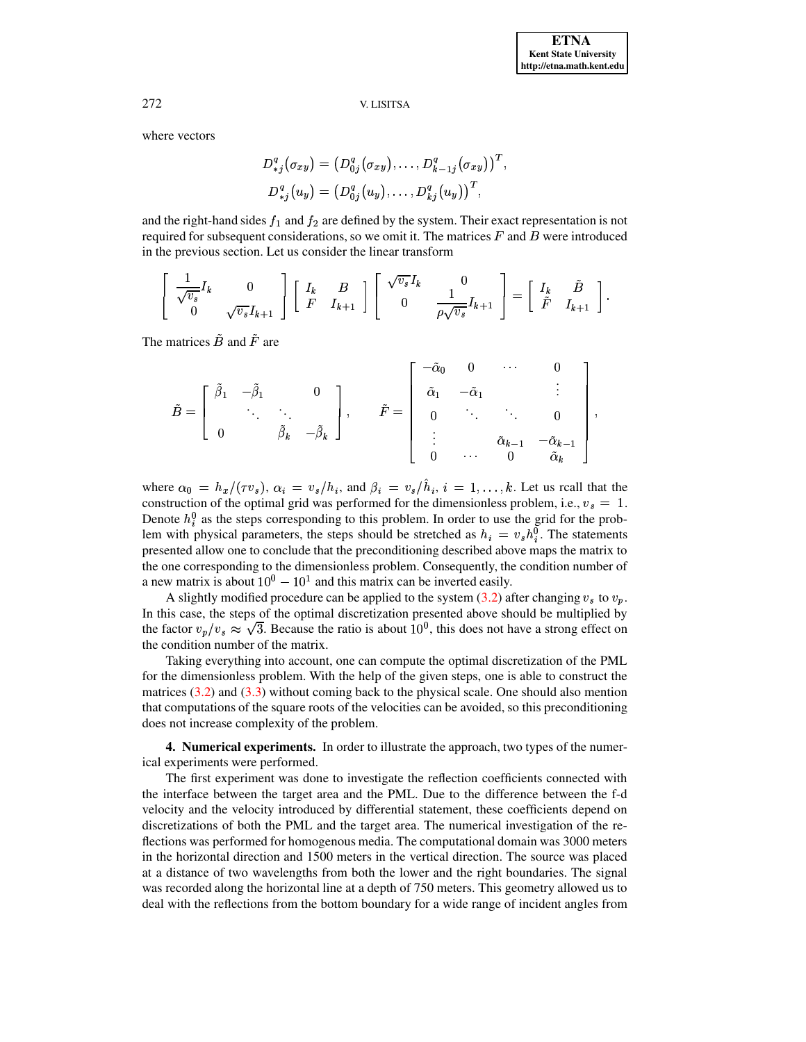where vectors

$$
D_{*j}^{q}(\sigma_{xy}) = (D_{0j}^{q}(\sigma_{xy}), \ldots, D_{k-1j}^{q}(\sigma_{xy}))^{T}
$$
  

$$
D_{*j}^{q}(u_{y}) = (D_{0j}^{q}(u_{y}), \ldots, D_{kj}^{q}(u_{y}))^{T},
$$

and the right-hand sides  $f_1$  and  $f_2$  are defined by the system. Their exact representation is not required for subsequent considerations, so we omit it. The matrices  $F$  and  $B$  were introduced in the previous section. Let us consider the linear transform

$$
\left[\begin{array}{cc} \frac{1}{\sqrt{v_s}}I_k & 0\\ 0 & \sqrt{v_s}I_{k+1} \end{array}\right] \left[\begin{array}{cc} I_k & B\\ F & I_{k+1} \end{array}\right] \left[\begin{array}{cc} \sqrt{v_s}I_k & 0\\ 0 & \frac{1}{\rho\sqrt{v_s}}I_{k+1} \end{array}\right] = \left[\begin{array}{cc} I_k & \tilde{B} \\ \tilde{F} & I_{k+1} \end{array}\right].
$$

The matrices  $\tilde{B}$  and  $\tilde{F}$  are

$$
\tilde{B} = \left[\begin{array}{cccc} \tilde{\beta}_1 & -\tilde{\beta}_1 & 0 \\ & \ddots & \ddots \\ 0 & & \tilde{\beta}_k & -\tilde{\beta}_k \end{array}\right], \qquad \tilde{F} = \left[\begin{array}{cccc} -\tilde{\alpha}_0 & 0 & \cdots & 0 \\ \tilde{\alpha}_1 & -\tilde{\alpha}_1 & & \vdots \\ & 0 & \ddots & \ddots & 0 \\ \vdots & & \tilde{\alpha}_{k-1} & -\tilde{\alpha}_{k-1} \\ 0 & \cdots & 0 & \tilde{\alpha}_k \end{array}\right],
$$

where  $\alpha_0 = h_x/(\tau v_s)$ ,  $\alpha_i = v_s/h_i$ , and  $\beta_i = v_s/\hat{h}_i$ ,  $i = 1, ..., k$ . Let us reall that the construction of the optimal grid was performed for the dimensionless problem, i.e.,  $v_s = 1$ . Denote  $h_i^0$  as the steps corresponding to this problem. In order to use the grid for the problem with physical parameters, the steps should be stretched as  $h_i = v_s h_i^0$ . The statements presented allow one to conclude that the preconditioning described above maps the matrix to the one corresponding to the dimensionless problem. Consequently, the condition number of a new matrix is about  $10^0 - 10^1$  and this matrix can be inverted easily.

A slightly modified procedure can be applied to the system (3.2) after changing  $v_s$  to  $v_p$ . In this case, the steps of the optimal discretization presented above should be multiplied by the factor  $v_p/v_s \approx \sqrt{3}$ . Because the ratio is about  $10^0$ , this does not have a strong effect on the condition number of the matrix.

Taking everything into account, one can compute the optimal discretization of the PML for the dimensionless problem. With the help of the given steps, one is able to construct the matrices  $(3.2)$  and  $(3.3)$  without coming back to the physical scale. One should also mention that computations of the square roots of the velocities can be avoided, so this preconditioning does not increase complexity of the problem.

<span id="page-14-0"></span>**4. Numerical experiments.** In order to illustrate the approach, two types of the numerical experiments were performed.

The first experiment was done to investigate the reflection coefficients connected with the interface between the target area and the PML. Due to the difference between the f-d velocity and the velocity introduced by differential statement, these coefficients depend on discretizations of both the PML and the target area. The numerical investigation of the reflections was performed for homogenous media. The computational domain was 3000 meters in the horizontal direction and 1500 meters in the vertical direction. The source was placed at a distance of two wavelengths from both the lower and the right boundaries. The signal was recorded along the horizontal line at a depth of 750 meters. This geometry allowed us to deal with the reflections from the bottom boundary for a wide range of incident angles from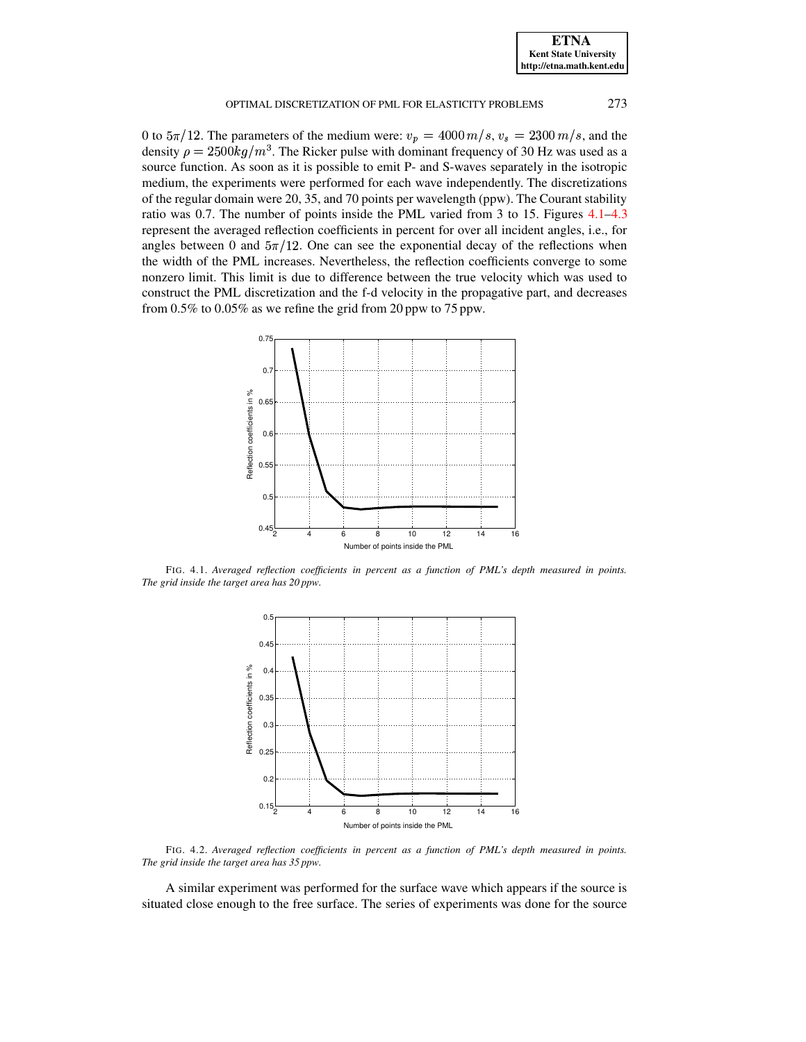0 to  $5\pi/12$ . The parameters of the medium were:  $v_p = 4000 \, m/s$ ,  $v_s = 2300 \, m/s$ , and the density  $\rho = 2500 kg/m^3$ . The Ricker pulse with dominant frequency of 30 Hz was used as a source function. As soon as it is possible to emit P- and S-waves separately in the isotropic medium, the experiments were performed for each wave independently. The discretizations of the regular domain were 20, 35, and 70 points per wavelength (ppw). The Courant stability ratio was 0.7. The number of points inside the PML varied from 3 to 15. Figures [4.1–](#page-15-0)[4.3](#page-16-0) represent the averaged reflection coefficients in percent for over all incident angles, i.e., for angles between 0 and  $5\pi/12$ . One can see the exponential decay of the reflections when the width of the PML increases. Nevertheless, the reflection coefficients converge to some nonzero limit. This limit is due to difference between the true velocity which was used to construct the PML discretization and the f-d velocity in the propagative part, and decreases from 0.5% to 0.05% as we refine the grid from 20 ppw to 75 ppw.



<span id="page-15-0"></span>FIG. 4.1. *Averaged reflection coefficients in percent as a function of PML's depth measured in points. The grid inside the target area has 20 ppw.*



FIG. 4.2. *Averaged reflection coefficients in percent as a function of PML's depth measured in points. The grid inside the target area has 35 ppw.*

A similar experiment was performed for the surface wave which appears if the source is situated close enough to the free surface. The series of experiments was done for the source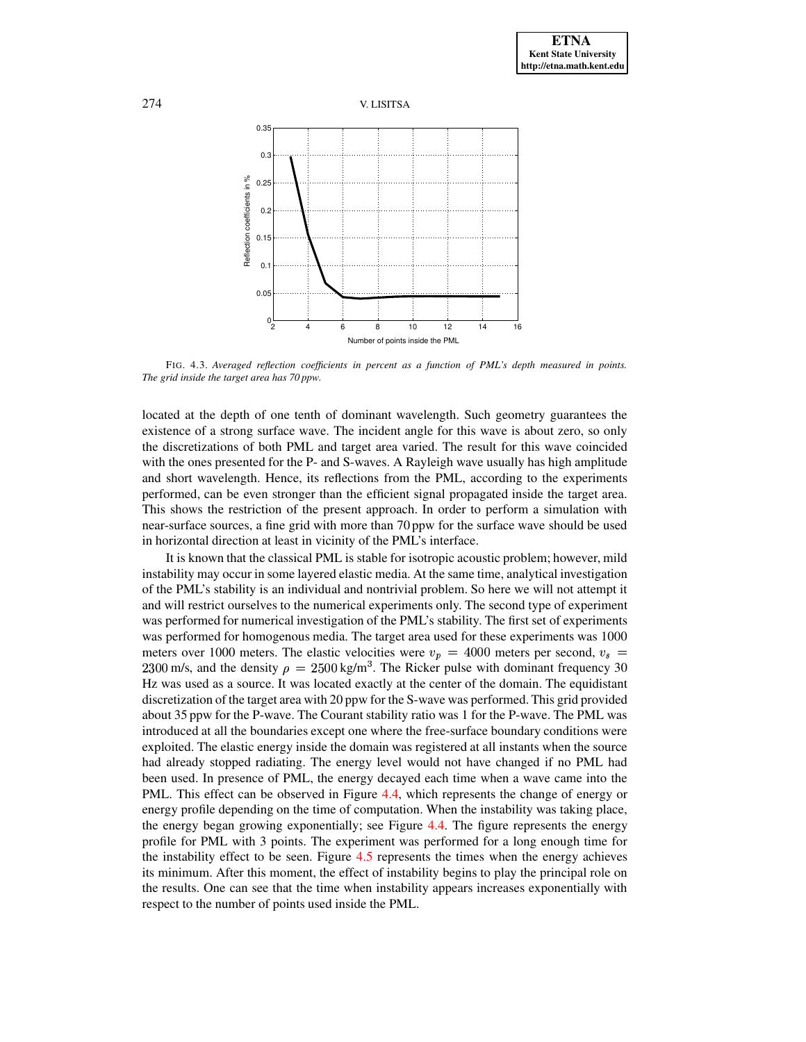



<span id="page-16-0"></span>FIG. 4.3. *Averaged reflection coefficients in percent as a function of PML's depth measured in points. The grid inside the target area has 70 ppw.*

located at the depth of one tenth of dominant wavelength. Such geometry guarantees the existence of a strong surface wave. The incident angle for this wave is about zero, so only the discretizations of both PML and target area varied. The result for this wave coincided with the ones presented for the P- and S-waves. A Rayleigh wave usually has high amplitude and short wavelength. Hence, its reflections from the PML, according to the experiments performed, can be even stronger than the efficient signal propagated inside the target area. This shows the restriction of the present approach. In order to perform a simulation with near-surface sources, a fine grid with more than 70 ppw for the surface wave should be used in horizontal direction at least in vicinity of the PML's interface.

It is known that the classical PML is stable for isotropic acoustic problem; however, mild instability may occur in some layered elastic media. At the same time, analytical investigation of the PML's stability is an individual and nontrivial problem. So here we will not attempt it and will restrict ourselves to the numerical experiments only. The second type of experiment was performed for numerical investigation of the PML's stability. The first set of experiments was performed for homogenous media. The target area used for these experiments was 1000 meters over 1000 meters. The elastic velocities were  $v_p = 4000$  meters per second,  $v_s =$ 2300 m/s, and the density  $\rho = 2500 \text{ kg/m}^3$ . The Ricker pulse with dominant frequency 30 Hz was used as a source. It was located exactly at the center of the domain. The equidistant discretization of the target area with 20 ppw for the S-wave was performed. This grid provided about 35 ppw for the P-wave. The Courant stability ratio was 1 for the P-wave. The PML was introduced at all the boundaries except one where the free-surface boundary conditions were exploited. The elastic energy inside the domain was registered at all instants when the source had already stopped radiating. The energy level would not have changed if no PML had been used. In presence of PML, the energy decayed each time when a wave came into the PML. This effect can be observed in Figure [4.4,](#page-17-0) which represents the change of energy or energy profile depending on the time of computation. When the instability was taking place, the energy began growing exponentially; see Figure [4.4.](#page-17-0) The figure represents the energy profile for PML with 3 points. The experiment was performed for a long enough time for the instability effect to be seen. Figure [4.5](#page-17-1) represents the times when the energy achieves its minimum. After this moment, the effect of instability begins to play the principal role on the results. One can see that the time when instability appears increases exponentially with respect to the number of points used inside the PML.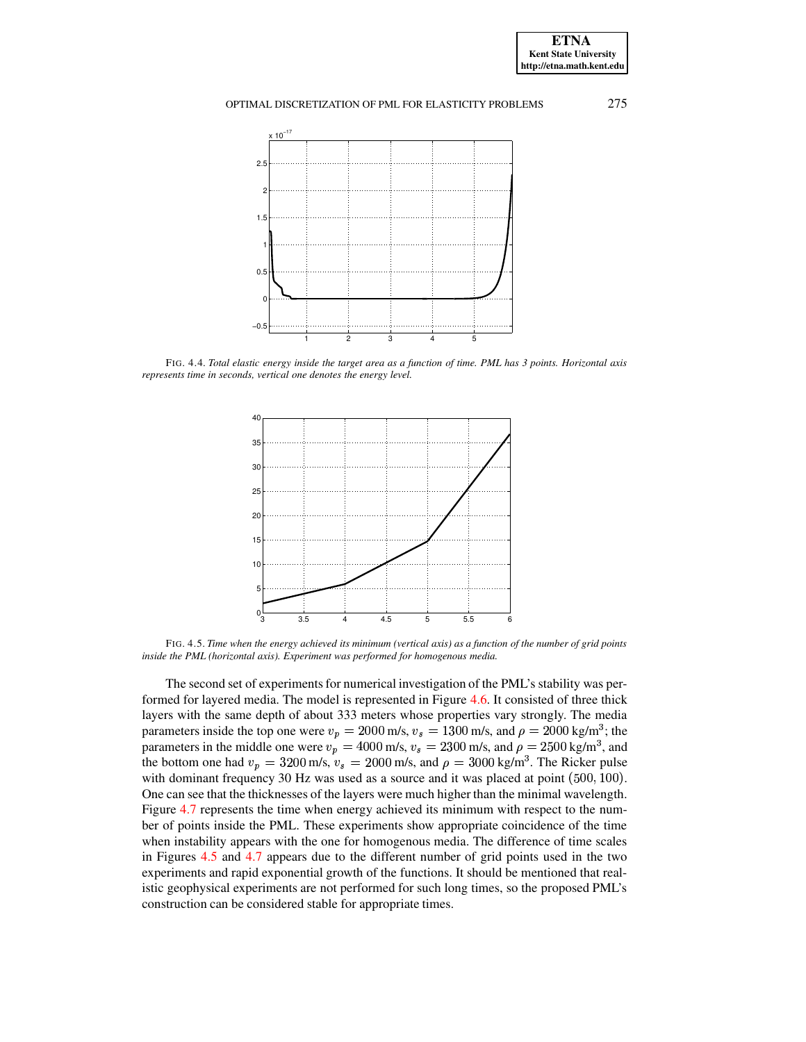

<span id="page-17-0"></span>FIG. 4.4. Total elastic energy inside the target area as a function of time. PML has 3 points. Horizontal axis *represents time in seconds, vertical one denotes the energy level.*



<span id="page-17-1"></span>FIG. 4.5. Time when the energy achieved its minimum (vertical axis) as a function of the number of grid points *inside the PML (horizontal axis). Experiment was performed for homogenous media.*

The second set of experiments for numerical investigation of the PML's stability was performed for layered media. The model is represented in Figure [4.6.](#page-18-0) It consisted of three thick layers with the same depth of about 333 meters whose properties vary strongly. The media parameters inside the top one were  $v_p = 2000$  m/s,  $v_s = 1300$  m/s, and  $\rho = 2000$  kg/m<sup>3</sup>; the parameters in the middle one were  $v_p = 4000$  m/s,  $v_s = 2300$  m/s, and  $\rho = 2500$  kg/m<sup>3</sup>, and the bottom one had  $v_p = 3200$  m/s,  $v_s = 2000$  m/s, and  $\rho = 3000$  kg/m<sup>3</sup>. The Ricker pulse with dominant frequency 30 Hz was used as a source and it was placed at point (500, 100). One can see that the thicknesses of the layers were much higher than the minimal wavelength. Figure [4.7](#page-18-1) represents the time when energy achieved its minimum with respect to the number of points inside the PML. These experiments show appropriate coincidence of the time when instability appears with the one for homogenous media. The difference of time scales in Figures [4.5](#page-17-1) and [4.7](#page-18-1) appears due to the different number of grid points used in the two experiments and rapid exponential growth of the functions. It should be mentioned that realistic geophysical experiments are not performed for such long times, so the proposed PML's construction can be considered stable for appropriate times.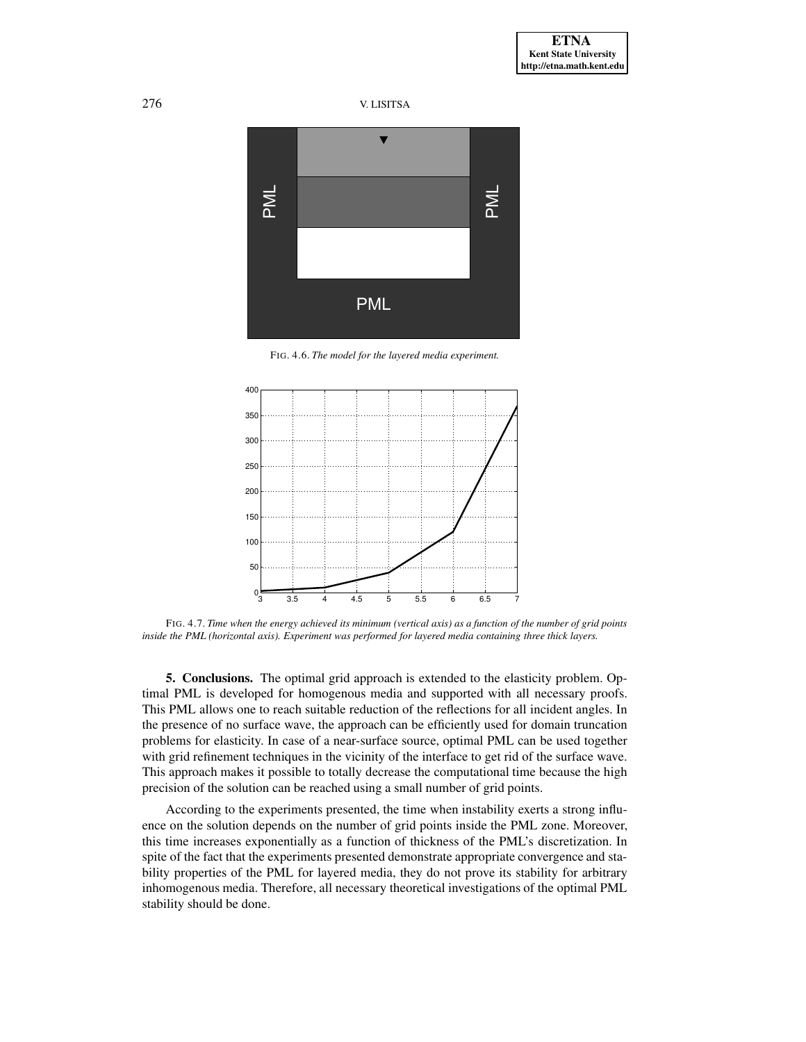



FIG. 4.6. *The model for the layered media experiment.*

<span id="page-18-0"></span>

<span id="page-18-1"></span>FIG. 4.7. Time when the energy achieved its minimum (vertical axis) as a function of the number of grid points *inside the PML (horizontal axis). Experiment was performed for layered media containing three thick layers.*

**5. Conclusions.** The optimal grid approach is extended to the elasticity problem. Optimal PML is developed for homogenous media and supported with all necessary proofs. This PML allows one to reach suitable reduction of the reflections for all incident angles. In the presence of no surface wave, the approach can be efficiently used for domain truncation problems for elasticity. In case of a near-surface source, optimal PML can be used together with grid refinement techniques in the vicinity of the interface to get rid of the surface wave. This approach makes it possible to totally decrease the computational time because the high precision of the solution can be reached using a small number of grid points.

According to the experiments presented, the time when instability exerts a strong influence on the solution depends on the number of grid points inside the PML zone. Moreover, this time increases exponentially as a function of thickness of the PML's discretization. In spite of the fact that the experiments presented demonstrate appropriate convergence and stability properties of the PML for layered media, they do not prove its stability for arbitrary inhomogenous media. Therefore, all necessary theoretical investigations of the optimal PML stability should be done.